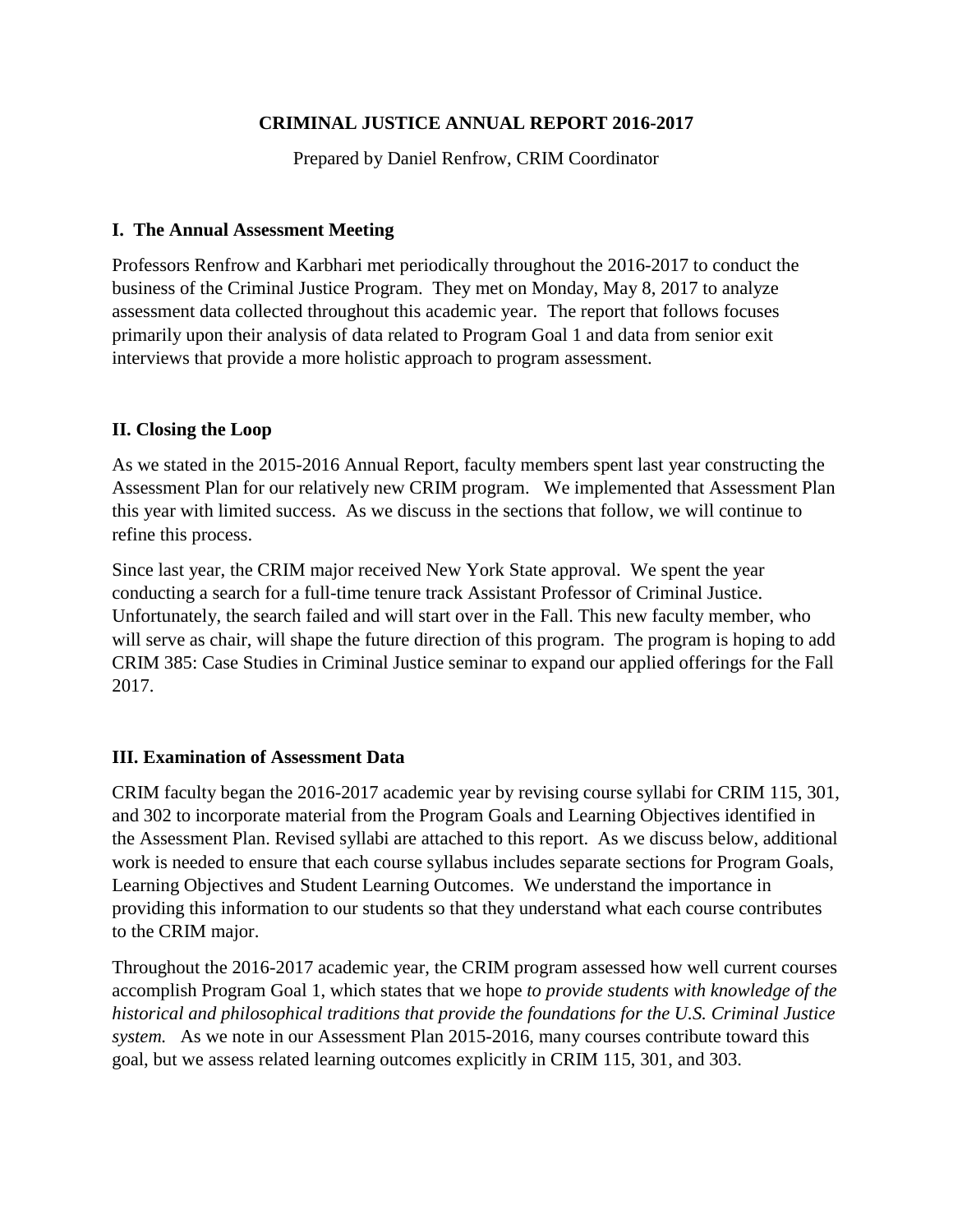# **CRIMINAL JUSTICE ANNUAL REPORT 2016-2017**

Prepared by Daniel Renfrow, CRIM Coordinator

### **I. The Annual Assessment Meeting**

Professors Renfrow and Karbhari met periodically throughout the 2016-2017 to conduct the business of the Criminal Justice Program. They met on Monday, May 8, 2017 to analyze assessment data collected throughout this academic year. The report that follows focuses primarily upon their analysis of data related to Program Goal 1 and data from senior exit interviews that provide a more holistic approach to program assessment.

### **II. Closing the Loop**

As we stated in the 2015-2016 Annual Report, faculty members spent last year constructing the Assessment Plan for our relatively new CRIM program. We implemented that Assessment Plan this year with limited success. As we discuss in the sections that follow, we will continue to refine this process.

Since last year, the CRIM major received New York State approval. We spent the year conducting a search for a full-time tenure track Assistant Professor of Criminal Justice. Unfortunately, the search failed and will start over in the Fall. This new faculty member, who will serve as chair, will shape the future direction of this program. The program is hoping to add CRIM 385: Case Studies in Criminal Justice seminar to expand our applied offerings for the Fall 2017.

# **III. Examination of Assessment Data**

CRIM faculty began the 2016-2017 academic year by revising course syllabi for CRIM 115, 301, and 302 to incorporate material from the Program Goals and Learning Objectives identified in the Assessment Plan. Revised syllabi are attached to this report. As we discuss below, additional work is needed to ensure that each course syllabus includes separate sections for Program Goals, Learning Objectives and Student Learning Outcomes. We understand the importance in providing this information to our students so that they understand what each course contributes to the CRIM major.

Throughout the 2016-2017 academic year, the CRIM program assessed how well current courses accomplish Program Goal 1, which states that we hope *to provide students with knowledge of the historical and philosophical traditions that provide the foundations for the U.S. Criminal Justice system.* As we note in our Assessment Plan 2015-2016, many courses contribute toward this goal, but we assess related learning outcomes explicitly in CRIM 115, 301, and 303.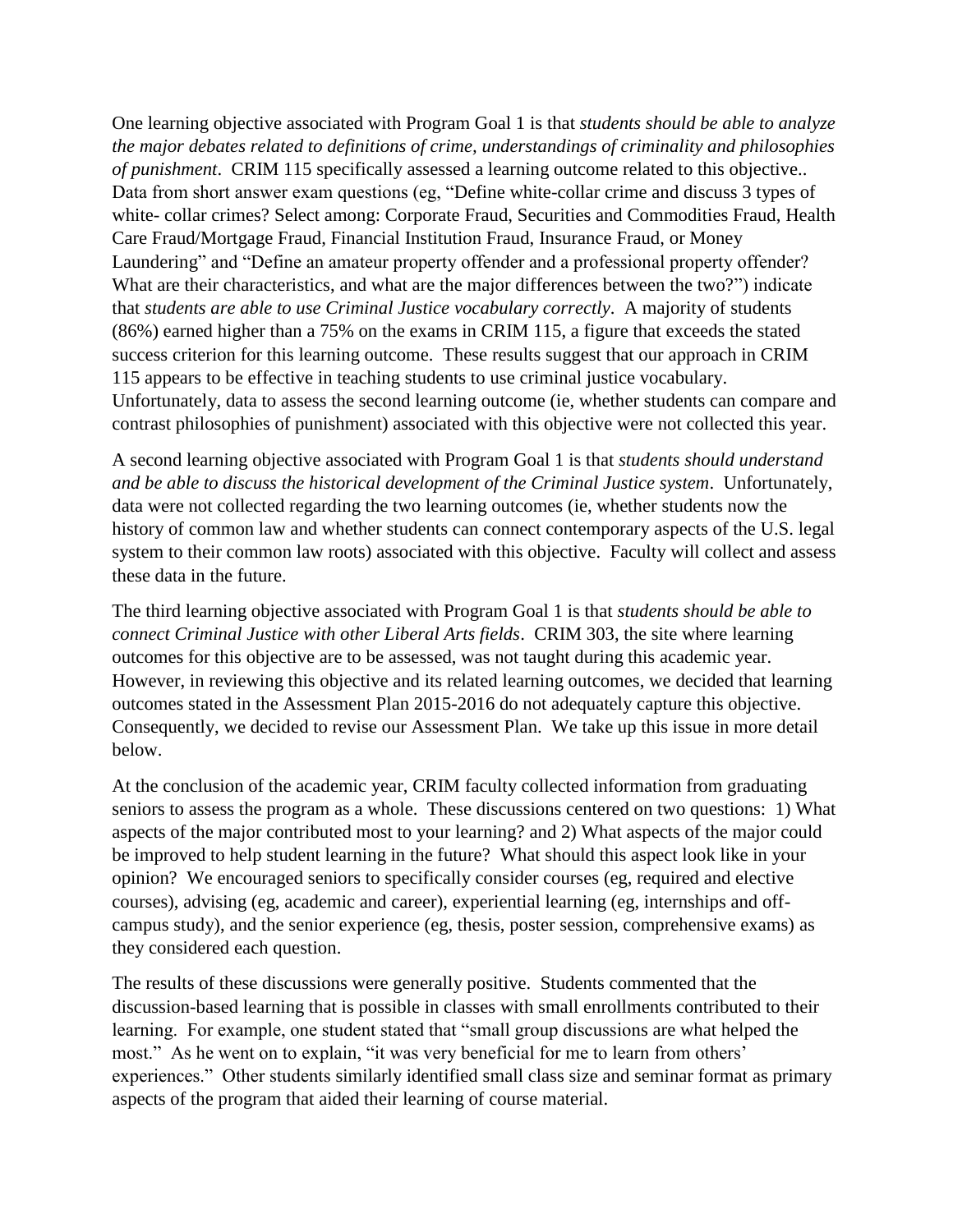One learning objective associated with Program Goal 1 is that *students should be able to analyze the major debates related to definitions of crime, understandings of criminality and philosophies of punishment*. CRIM 115 specifically assessed a learning outcome related to this objective.. Data from short answer exam questions (eg, "Define white-collar crime and discuss 3 types of white- collar crimes? Select among: Corporate Fraud, Securities and Commodities Fraud, Health Care Fraud/Mortgage Fraud, Financial Institution Fraud, Insurance Fraud, or Money Laundering" and "Define an amateur property offender and a professional property offender? What are their characteristics, and what are the major differences between the two?") indicate that *students are able to use Criminal Justice vocabulary correctly*. A majority of students (86%) earned higher than a 75% on the exams in CRIM 115, a figure that exceeds the stated success criterion for this learning outcome. These results suggest that our approach in CRIM 115 appears to be effective in teaching students to use criminal justice vocabulary. Unfortunately, data to assess the second learning outcome (ie, whether students can compare and contrast philosophies of punishment) associated with this objective were not collected this year.

A second learning objective associated with Program Goal 1 is that *students should understand and be able to discuss the historical development of the Criminal Justice system*. Unfortunately, data were not collected regarding the two learning outcomes (ie, whether students now the history of common law and whether students can connect contemporary aspects of the U.S. legal system to their common law roots) associated with this objective. Faculty will collect and assess these data in the future.

The third learning objective associated with Program Goal 1 is that *students should be able to connect Criminal Justice with other Liberal Arts fields*. CRIM 303, the site where learning outcomes for this objective are to be assessed, was not taught during this academic year. However, in reviewing this objective and its related learning outcomes, we decided that learning outcomes stated in the Assessment Plan 2015-2016 do not adequately capture this objective. Consequently, we decided to revise our Assessment Plan. We take up this issue in more detail below.

At the conclusion of the academic year, CRIM faculty collected information from graduating seniors to assess the program as a whole. These discussions centered on two questions: 1) What aspects of the major contributed most to your learning? and 2) What aspects of the major could be improved to help student learning in the future? What should this aspect look like in your opinion? We encouraged seniors to specifically consider courses (eg, required and elective courses), advising (eg, academic and career), experiential learning (eg, internships and offcampus study), and the senior experience (eg, thesis, poster session, comprehensive exams) as they considered each question.

The results of these discussions were generally positive. Students commented that the discussion-based learning that is possible in classes with small enrollments contributed to their learning. For example, one student stated that "small group discussions are what helped the most." As he went on to explain, "it was very beneficial for me to learn from others' experiences." Other students similarly identified small class size and seminar format as primary aspects of the program that aided their learning of course material.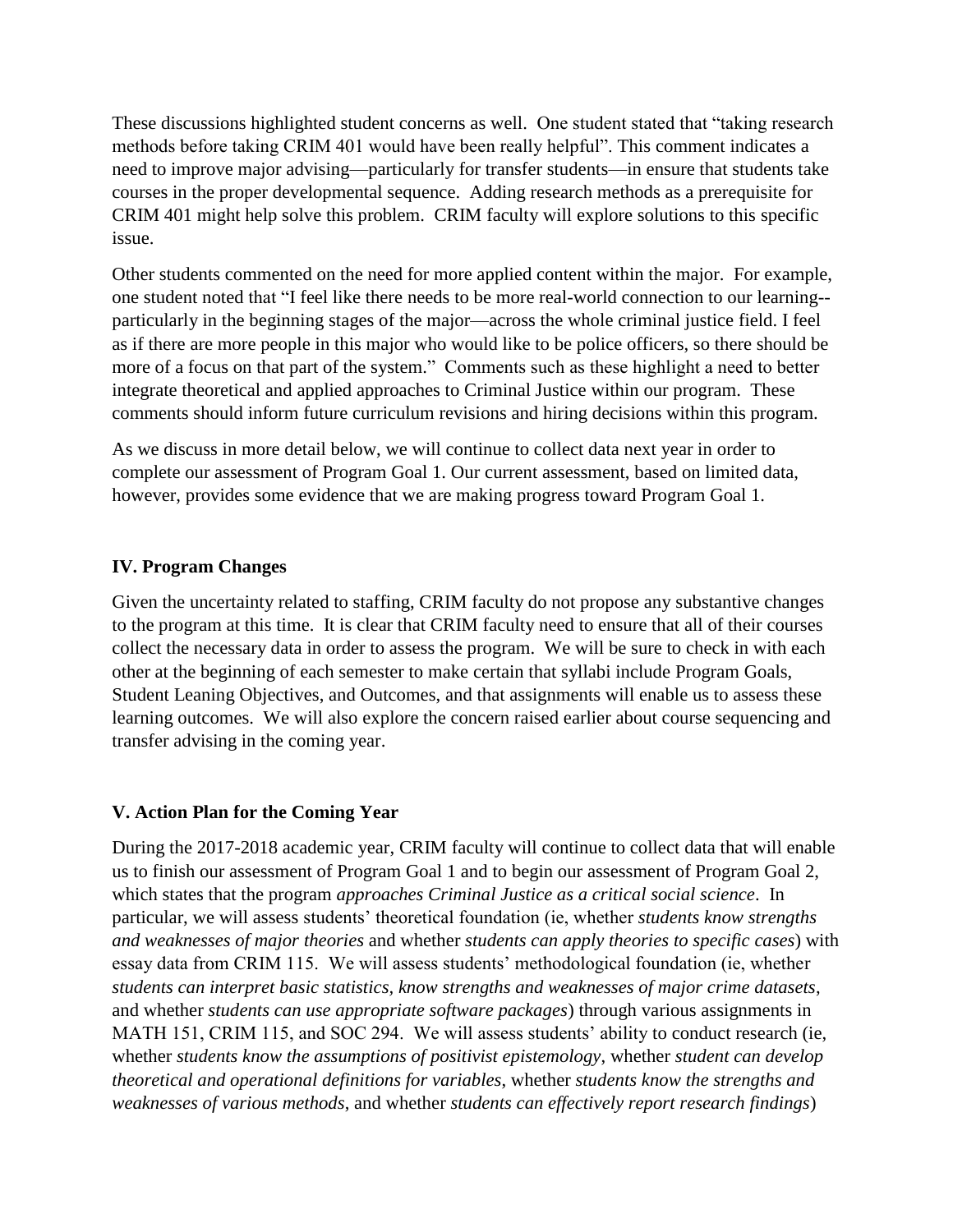These discussions highlighted student concerns as well. One student stated that "taking research methods before taking CRIM 401 would have been really helpful". This comment indicates a need to improve major advising—particularly for transfer students—in ensure that students take courses in the proper developmental sequence. Adding research methods as a prerequisite for CRIM 401 might help solve this problem. CRIM faculty will explore solutions to this specific issue.

Other students commented on the need for more applied content within the major. For example, one student noted that "I feel like there needs to be more real-world connection to our learning- particularly in the beginning stages of the major—across the whole criminal justice field. I feel as if there are more people in this major who would like to be police officers, so there should be more of a focus on that part of the system." Comments such as these highlight a need to better integrate theoretical and applied approaches to Criminal Justice within our program. These comments should inform future curriculum revisions and hiring decisions within this program.

As we discuss in more detail below, we will continue to collect data next year in order to complete our assessment of Program Goal 1. Our current assessment, based on limited data, however, provides some evidence that we are making progress toward Program Goal 1.

# **IV. Program Changes**

Given the uncertainty related to staffing, CRIM faculty do not propose any substantive changes to the program at this time. It is clear that CRIM faculty need to ensure that all of their courses collect the necessary data in order to assess the program. We will be sure to check in with each other at the beginning of each semester to make certain that syllabi include Program Goals, Student Leaning Objectives, and Outcomes, and that assignments will enable us to assess these learning outcomes. We will also explore the concern raised earlier about course sequencing and transfer advising in the coming year.

# **V. Action Plan for the Coming Year**

During the 2017-2018 academic year, CRIM faculty will continue to collect data that will enable us to finish our assessment of Program Goal 1 and to begin our assessment of Program Goal 2, which states that the program *approaches Criminal Justice as a critical social science*. In particular, we will assess students' theoretical foundation (ie, whether *students know strengths and weaknesses of major theories* and whether *students can apply theories to specific cases*) with essay data from CRIM 115. We will assess students' methodological foundation (ie, whether *students can interpret basic statistics, know strengths and weaknesses of major crime datasets*, and whether *students can use appropriate software packages*) through various assignments in MATH 151, CRIM 115, and SOC 294. We will assess students' ability to conduct research (ie, whether *students know the assumptions of positivist epistemology*, whether *student can develop theoretical and operational definitions for variables*, whether *students know the strengths and weaknesses of various methods*, and whether *students can effectively report research findings*)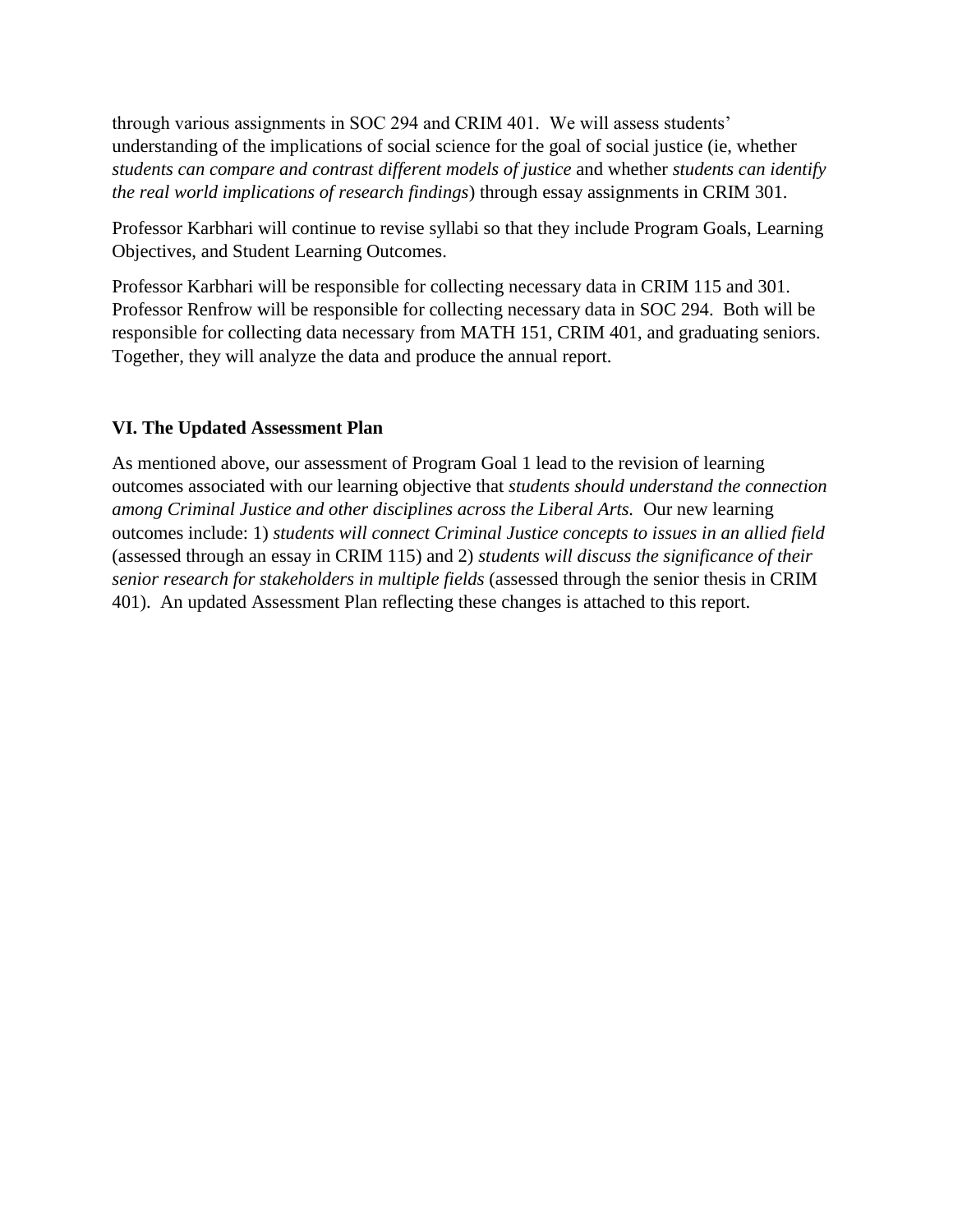through various assignments in SOC 294 and CRIM 401. We will assess students' understanding of the implications of social science for the goal of social justice (ie, whether *students can compare and contrast different models of justice* and whether *students can identify the real world implications of research findings*) through essay assignments in CRIM 301.

Professor Karbhari will continue to revise syllabi so that they include Program Goals, Learning Objectives, and Student Learning Outcomes.

Professor Karbhari will be responsible for collecting necessary data in CRIM 115 and 301. Professor Renfrow will be responsible for collecting necessary data in SOC 294. Both will be responsible for collecting data necessary from MATH 151, CRIM 401, and graduating seniors. Together, they will analyze the data and produce the annual report.

# **VI. The Updated Assessment Plan**

As mentioned above, our assessment of Program Goal 1 lead to the revision of learning outcomes associated with our learning objective that *students should understand the connection among Criminal Justice and other disciplines across the Liberal Arts.* Our new learning outcomes include: 1) *students will connect Criminal Justice concepts to issues in an allied field* (assessed through an essay in CRIM 115) and 2) *students will discuss the significance of their senior research for stakeholders in multiple fields* (assessed through the senior thesis in CRIM 401). An updated Assessment Plan reflecting these changes is attached to this report.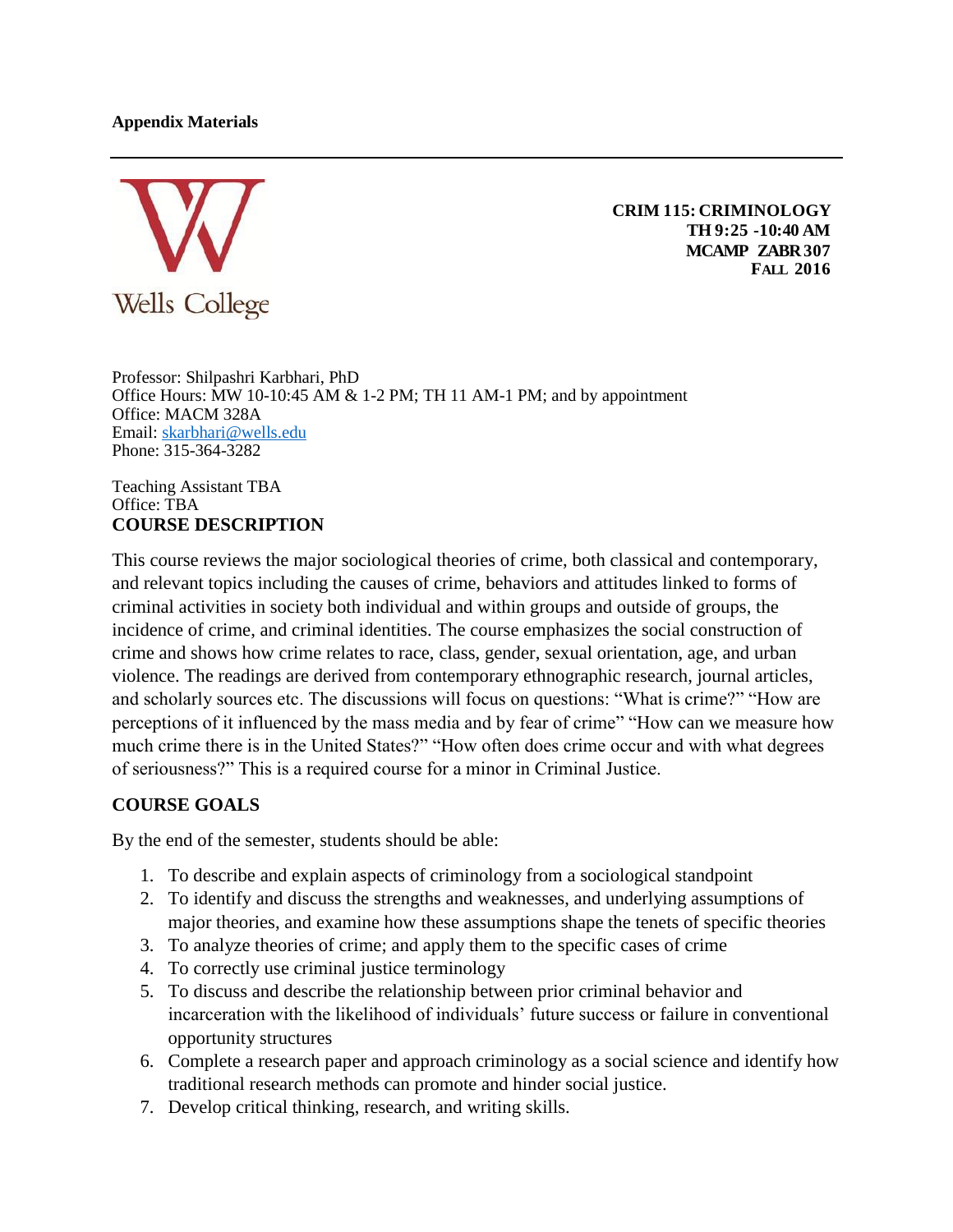### **Appendix Materials**



**CRIM 115: CRIMINOLOGY TH 9:25 -10:40 AM MCAMP ZABR307 FALL 2016**

Professor: Shilpashri Karbhari, PhD Office Hours:  $\overline{M}W$  10-10:45 AM & 1-2 PM; TH 11 AM-1 PM; and by appointment Office: MACM 328A Email: [skarbhari@wells.edu](mailto:skarbhari@wells.edu)  Phone: 315-364-3282

Teaching Assistant TBA Office: TBA **COURSE DESCRIPTION**

This course reviews the major sociological theories of crime, both classical and contemporary, and relevant topics including the causes of crime, behaviors and attitudes linked to forms of criminal activities in society both individual and within groups and outside of groups, the incidence of crime, and criminal identities. The course emphasizes the social construction of crime and shows how crime relates to race, class, gender, sexual orientation, age, and urban violence. The readings are derived from contemporary ethnographic research, journal articles, and scholarly sources etc. The discussions will focus on questions: "What is crime?" "How are perceptions of it influenced by the mass media and by fear of crime" "How can we measure how much crime there is in the United States?" "How often does crime occur and with what degrees of seriousness?" This is a required course for a minor in Criminal Justice.

# **COURSE GOALS**

By the end of the semester, students should be able:

- 1. To describe and explain aspects of criminology from a sociological standpoint
- 2. To identify and discuss the strengths and weaknesses, and underlying assumptions of major theories, and examine how these assumptions shape the tenets of specific theories
- 3. To analyze theories of crime; and apply them to the specific cases of crime
- 4. To correctly use criminal justice terminology
- 5. To discuss and describe the relationship between prior criminal behavior and incarceration with the likelihood of individuals' future success or failure in conventional opportunity structures
- 6. Complete a research paper and approach criminology as a social science and identify how traditional research methods can promote and hinder social justice.
- 7. Develop critical thinking, research, and writing skills.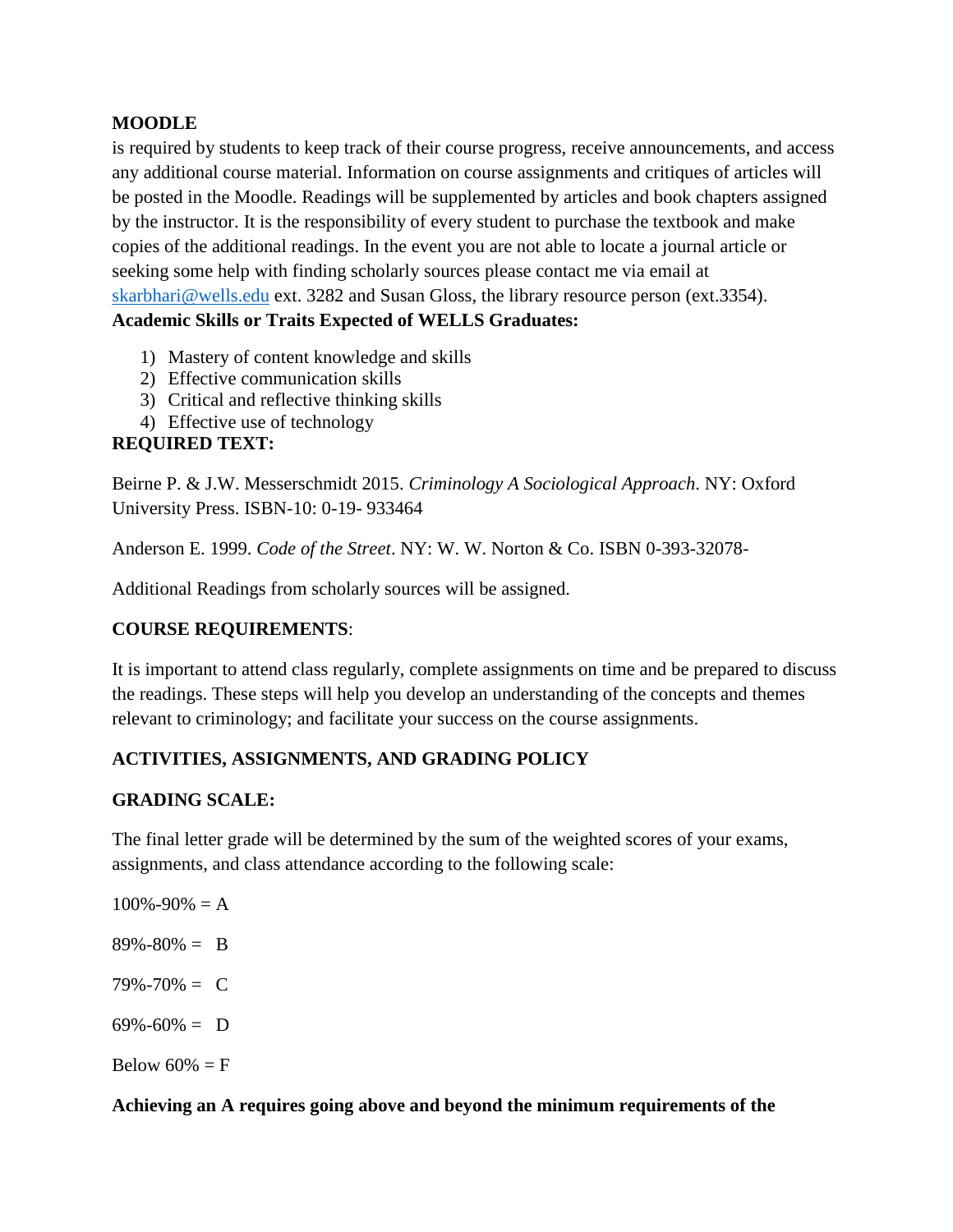### **MOODLE**

is required by students to keep track of their course progress, receive announcements, and access any additional course material. Information on course assignments and critiques of articles will be posted in the Moodle. Readings will be supplemented by articles and book chapters assigned by the instructor. It is the responsibility of every student to purchase the textbook and make copies of the additional readings. In the event you are not able to locate a journal article or seeking some help with finding scholarly sources please contact me via email at [skarbhari@wells.edu](mailto:skarbhari@wells.edu) ext. 3282 and Susan Gloss, the library resource person (ext.3354). **Academic Skills or Traits Expected of WELLS Graduates:**

- 1) Mastery of content knowledge and skills
- 2) Effective communication skills
- 3) Critical and reflective thinking skills
- 4) Effective use of technology

# **REQUIRED TEXT:**

Beirne P. & J.W. Messerschmidt 2015. *Criminology A Sociological Approach*. NY: Oxford University Press. ISBN-10: 0-19- 933464

Anderson E. 1999. *Code of the Street*. NY: W. W. Norton & Co. ISBN 0-393-32078-

Additional Readings from scholarly sources will be assigned.

# **COURSE REQUIREMENTS**:

It is important to attend class regularly, complete assignments on time and be prepared to discuss the readings. These steps will help you develop an understanding of the concepts and themes relevant to criminology; and facilitate your success on the course assignments.

# **ACTIVITIES, ASSIGNMENTS, AND GRADING POLICY**

### **GRADING SCALE:**

The final letter grade will be determined by the sum of the weighted scores of your exams, assignments, and class attendance according to the following scale:

 $100\% - 90\% = A$ 89%-80% = B  $79\% - 70\% = C$  $69\% - 60\% = D$ Below  $60\% = F$ 

### **Achieving an A requires going above and beyond the minimum requirements of the**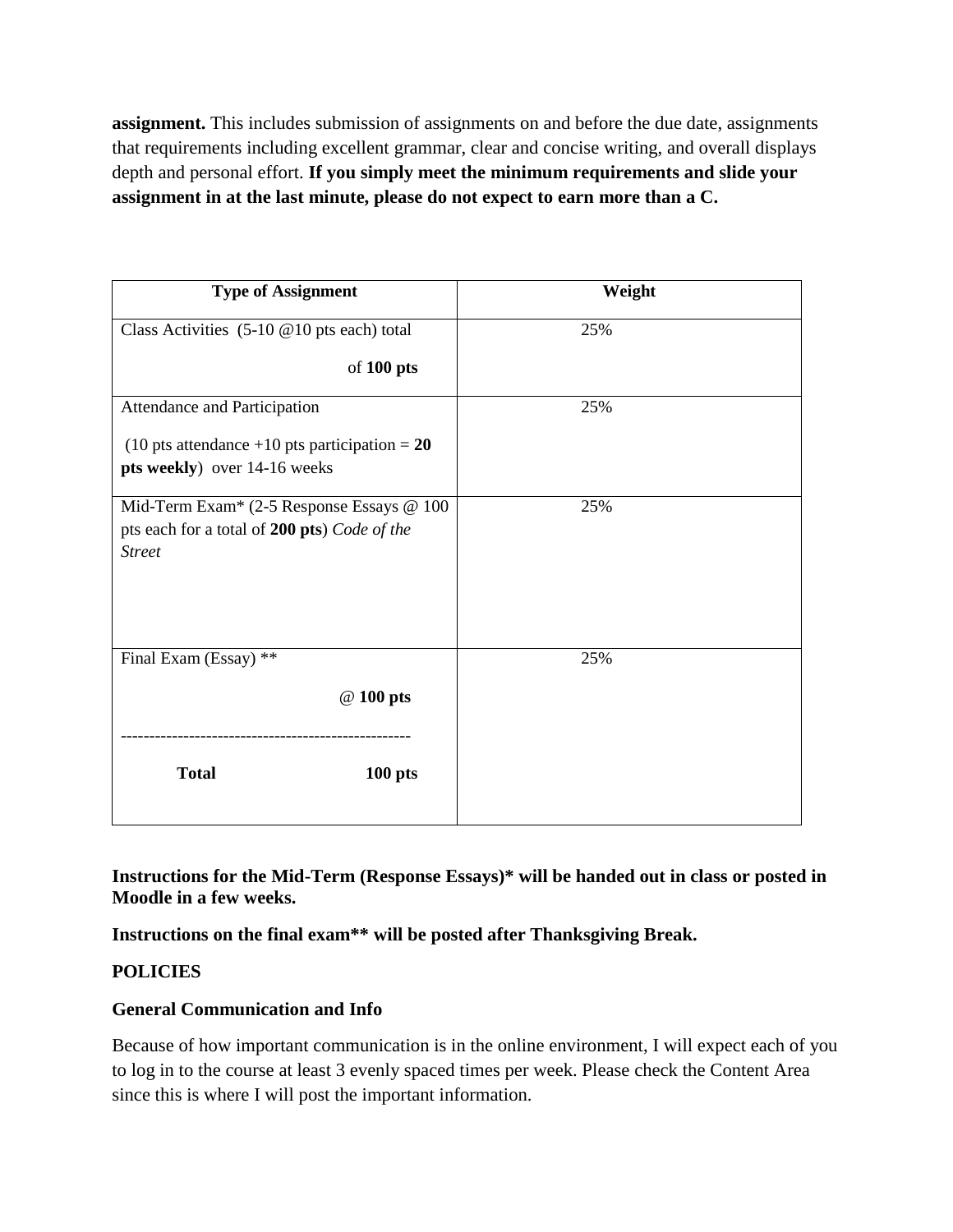**assignment.** This includes submission of assignments on and before the due date, assignments that requirements including excellent grammar, clear and concise writing, and overall displays depth and personal effort. **If you simply meet the minimum requirements and slide your assignment in at the last minute, please do not expect to earn more than a C.**

| <b>Type of Assignment</b>                                                                                  | Weight |
|------------------------------------------------------------------------------------------------------------|--------|
| Class Activities $(5-10 \t@ 10 \tpt s each)$ total                                                         | 25%    |
| of 100 pts                                                                                                 |        |
| Attendance and Participation                                                                               | 25%    |
| (10 pts attendance +10 pts participation = $20$<br>pts weekly) over 14-16 weeks                            |        |
| Mid-Term Exam* (2-5 Response Essays @ 100<br>pts each for a total of 200 pts) Code of the<br><b>Street</b> | 25%    |
|                                                                                                            | 25%    |
| Final Exam (Essay) **<br>@ 100 pts                                                                         |        |
| <b>Total</b><br>$100$ pts                                                                                  |        |

**Instructions for the Mid-Term (Response Essays)\* will be handed out in class or posted in Moodle in a few weeks.** 

**Instructions on the final exam\*\* will be posted after Thanksgiving Break.** 

# **POLICIES**

# **General Communication and Info**

Because of how important communication is in the online environment, I will expect each of you to log in to the course at least 3 evenly spaced times per week. Please check the Content Area since this is where I will post the important information.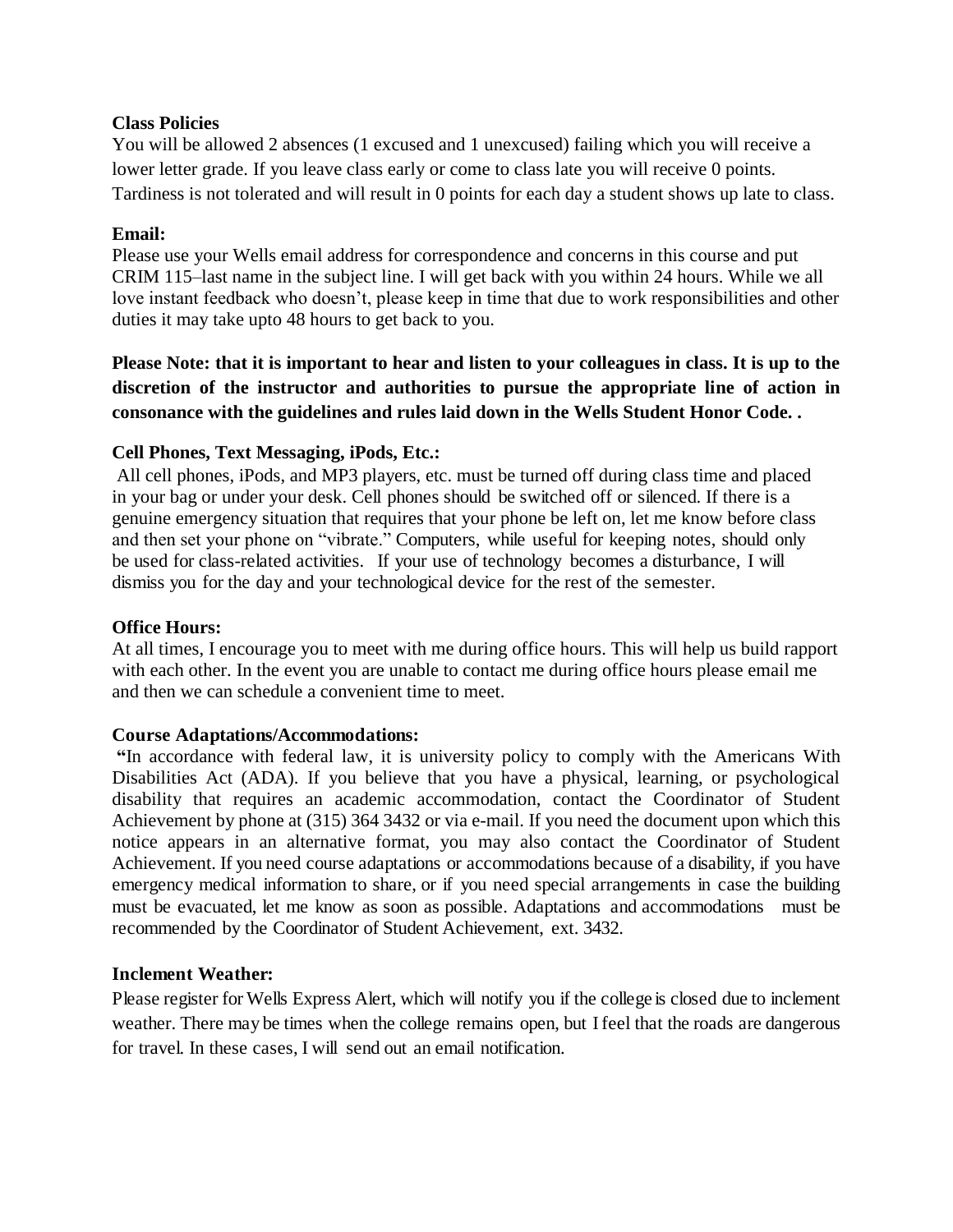### **Class Policies**

You will be allowed 2 absences (1 excused and 1 unexcused) failing which you will receive a lower letter grade. If you leave class early or come to class late you will receive 0 points. Tardiness is not tolerated and will result in 0 points for each day a student shows up late to class.

### **Email:**

Please use your Wells email address for correspondence and concerns in this course and put CRIM 115–last name in the subject line. I will get back with you within 24 hours. While we all love instant feedback who doesn't, please keep in time that due to work responsibilities and other duties it may take upto 48 hours to get back to you.

**Please Note: that it is important to hear and listen to your colleagues in class. It is up to the discretion of the instructor and authorities to pursue the appropriate line of action in consonance with the guidelines and rules laid down in the Wells Student Honor Code. .** 

# **Cell Phones, Text Messaging, iPods, Etc.:**

All cell phones, iPods, and MP3 players, etc. must be turned off during class time and placed in your bag or under your desk. Cell phones should be switched off or silenced. If there is a genuine emergency situation that requires that your phone be left on, let me know before class and then set your phone on "vibrate." Computers, while useful for keeping notes, should only be used for class-related activities. If your use of technology becomes a disturbance, I will dismiss you for the day and your technological device for the rest of the semester.

### **Office Hours:**

At all times, I encourage you to meet with me during office hours. This will help us build rapport with each other. In the event you are unable to contact me during office hours please email me and then we can schedule a convenient time to meet.

### **Course Adaptations/Accommodations:**

**"**In accordance with federal law, it is university policy to comply with the Americans With Disabilities Act (ADA). If you believe that you have a physical, learning, or psychological disability that requires an academic accommodation, contact the Coordinator of Student Achievement by phone at (315) 364 3432 or via e-mail. If you need the document upon which this notice appears in an alternative format, you may also contact the Coordinator of Student Achievement. If you need course adaptations or accommodations because of a disability, if you have emergency medical information to share, or if you need special arrangements in case the building must be evacuated, let me know as soon as possible. Adaptations and accommodations must be recommended by the Coordinator of Student Achievement, ext. 3432.

### **Inclement Weather:**

Please register for Wells Express Alert, which will notify you if the college is closed due to inclement weather. There may be times when the college remains open, but Ifeel that the roads are dangerous for travel. In these cases, I will send out an email notification.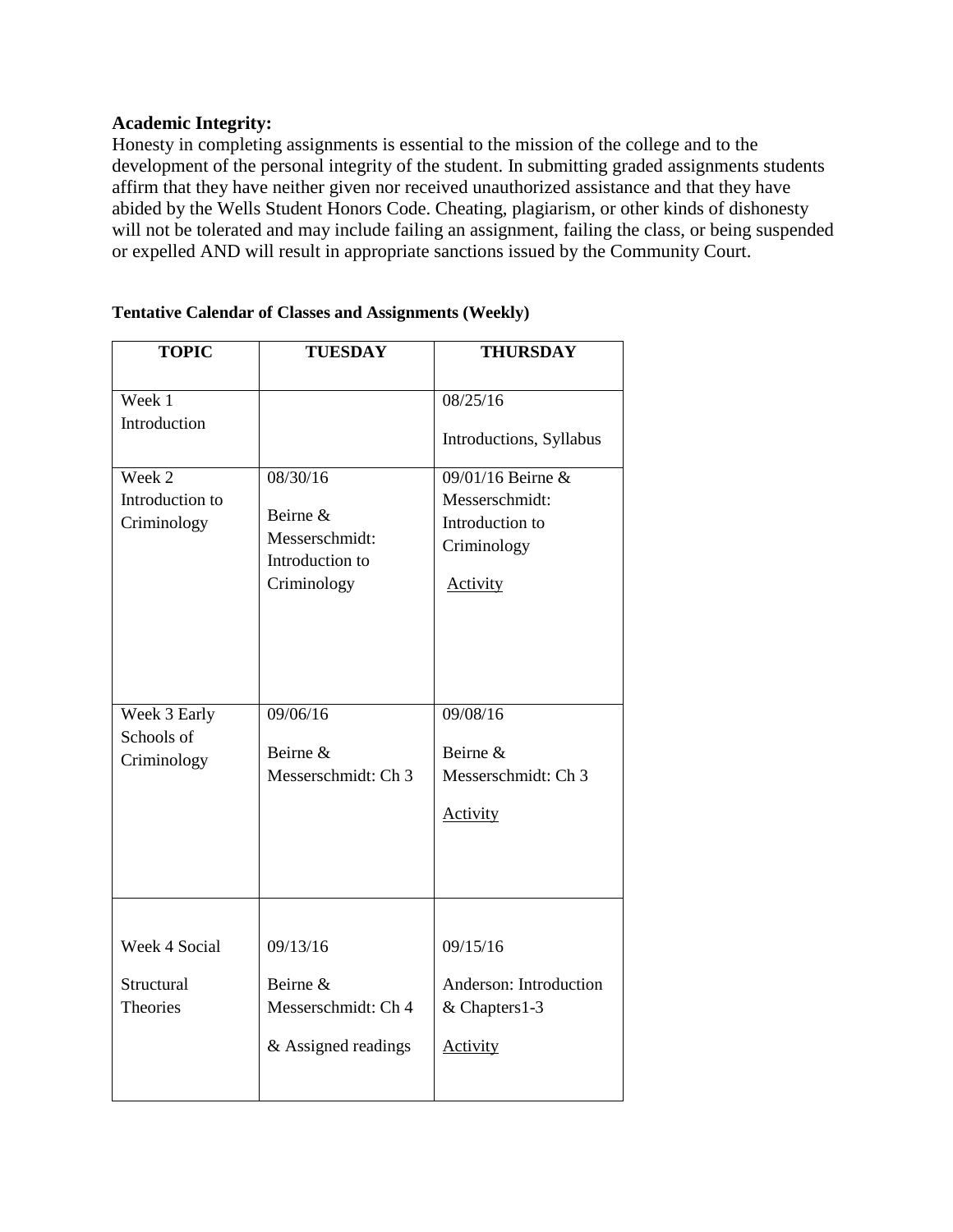### **Academic Integrity:**

Honesty in completing assignments is essential to the mission of the college and to the development of the personal integrity of the student. In submitting graded assignments students affirm that they have neither given nor received unauthorized assistance and that they have abided by the Wells Student Honors Code. Cheating, plagiarism, or other kinds of dishonesty will not be tolerated and may include failing an assignment, failing the class, or being suspended or expelled AND will result in appropriate sanctions issued by the Community Court.

| <b>TOPIC</b>                                   | <b>TUESDAY</b>                                                           | <b>THURSDAY</b>                                                                   |
|------------------------------------------------|--------------------------------------------------------------------------|-----------------------------------------------------------------------------------|
| Week 1<br>Introduction                         |                                                                          | 08/25/16<br>Introductions, Syllabus                                               |
| Week 2<br>Introduction to<br>Criminology       | 08/30/16<br>Beirne &<br>Messerschmidt:<br>Introduction to<br>Criminology | 09/01/16 Beirne &<br>Messerschmidt:<br>Introduction to<br>Criminology<br>Activity |
| Week 3 Early<br>Schools of<br>Criminology      | 09/06/16<br>Beirne &<br>Messerschmidt: Ch 3                              | 09/08/16<br>Beirne &<br>Messerschmidt: Ch 3<br><b>Activity</b>                    |
| Week 4 Social<br>Structural<br><b>Theories</b> | 09/13/16<br>Beirne &<br>Messerschmidt: Ch 4<br>& Assigned readings       | 09/15/16<br>Anderson: Introduction<br>& Chapters1-3<br>Activity                   |

### **Tentative Calendar of Classes and Assignments (Weekly)**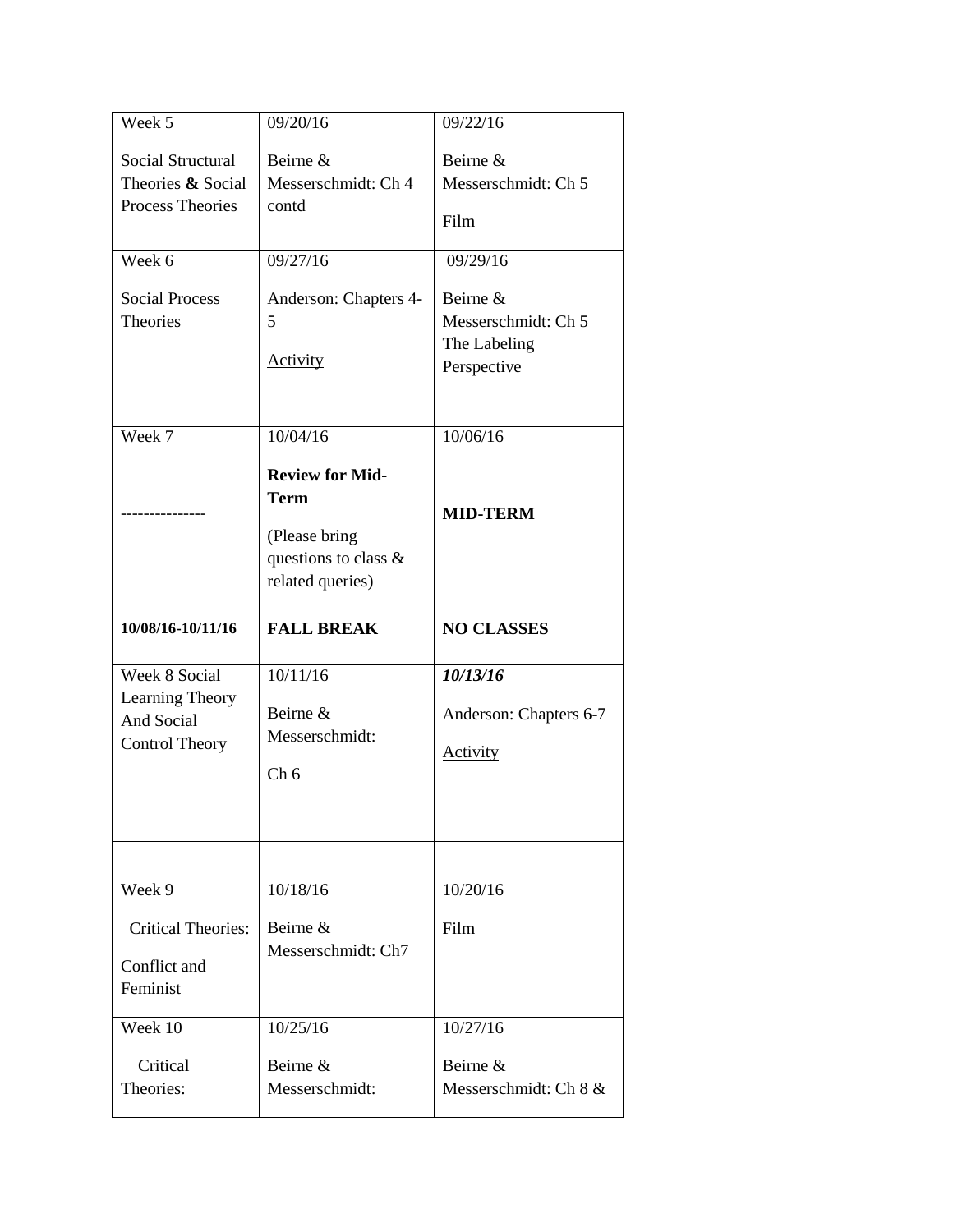| Week 5                                                                  | 09/20/16                                                                                           | 09/22/16                                                       |
|-------------------------------------------------------------------------|----------------------------------------------------------------------------------------------------|----------------------------------------------------------------|
| <b>Social Structural</b><br>Theories & Social<br>Process Theories       | Beirne &<br>Messerschmidt: Ch 4<br>contd                                                           | Beirne &<br>Messerschmidt: Ch 5<br>Film                        |
| Week 6                                                                  | 09/27/16                                                                                           | 09/29/16                                                       |
| <b>Social Process</b><br><b>Theories</b>                                | Anderson: Chapters 4-<br>5<br><b>Activity</b>                                                      | Beirne &<br>Messerschmidt: Ch 5<br>The Labeling<br>Perspective |
| Week 7                                                                  | 10/04/16                                                                                           | 10/06/16                                                       |
|                                                                         | <b>Review for Mid-</b><br><b>Term</b><br>(Please bring<br>questions to class &<br>related queries) | <b>MID-TERM</b>                                                |
|                                                                         |                                                                                                    |                                                                |
| 10/08/16-10/11/16                                                       | <b>FALL BREAK</b>                                                                                  | <b>NO CLASSES</b>                                              |
| Week 8 Social<br>Learning Theory<br>And Social<br><b>Control Theory</b> | 10/11/16<br>Beirne &<br>Messerschmidt:<br>Ch <sub>6</sub>                                          | 10/13/16<br>Anderson: Chapters 6-7<br><b>Activity</b>          |
| Week 9<br><b>Critical Theories:</b><br>Conflict and<br>Feminist         | 10/18/16<br>Beirne &<br>Messerschmidt: Ch7                                                         | 10/20/16<br>Film                                               |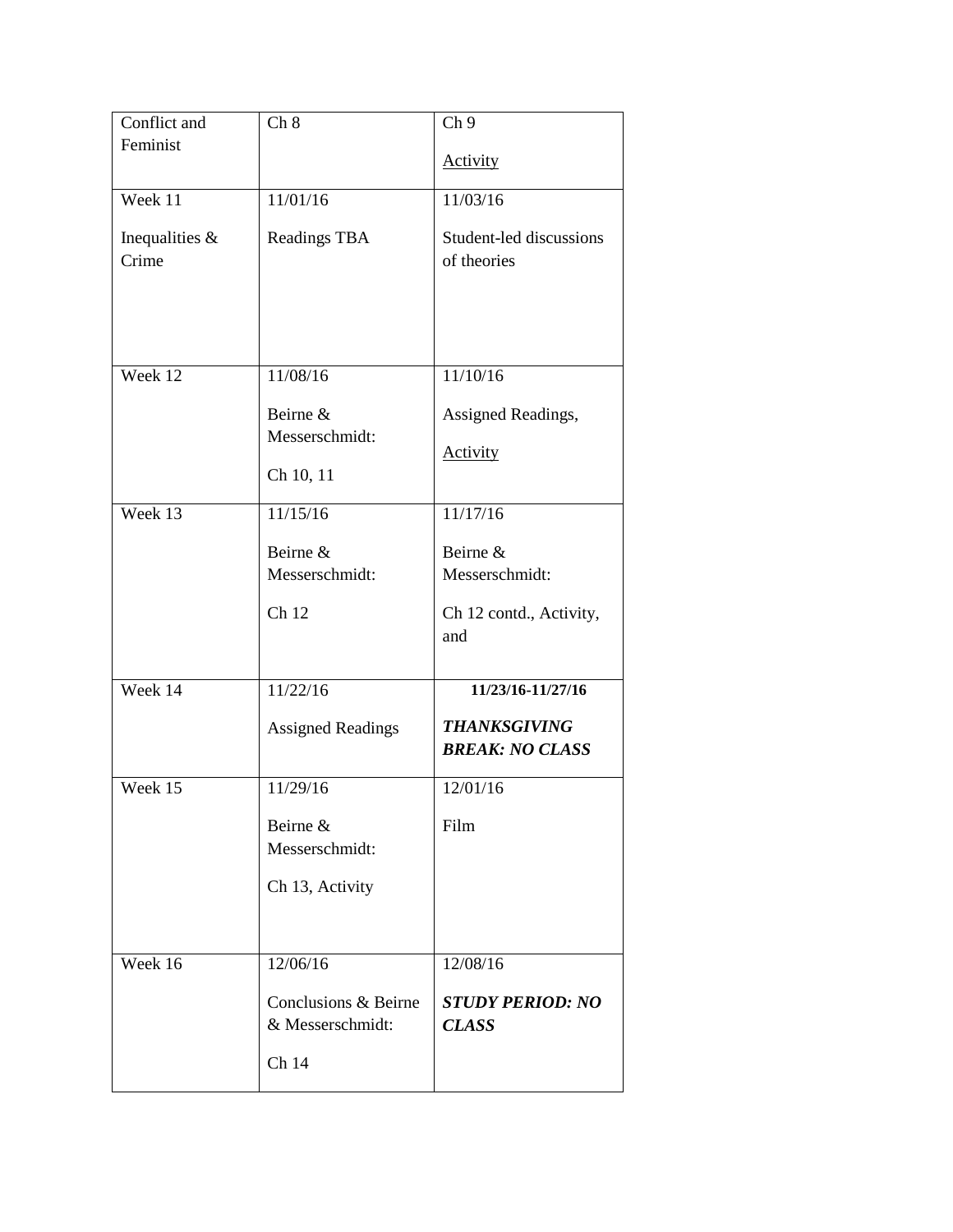| Conflict and     | Ch 8                     | Ch <sub>9</sub>                |
|------------------|--------------------------|--------------------------------|
| Feminist         |                          |                                |
|                  |                          | <b>Activity</b>                |
| Week 11          | 11/01/16                 | 11/03/16                       |
|                  |                          |                                |
| Inequalities $&$ | Readings TBA             | Student-led discussions        |
| Crime            |                          | of theories                    |
|                  |                          |                                |
|                  |                          |                                |
|                  |                          |                                |
| Week $12$        | 11/08/16                 | $11/10/\overline{16}$          |
|                  |                          |                                |
|                  | Beirne &                 | Assigned Readings,             |
|                  | Messerschmidt:           | <b>Activity</b>                |
|                  | Ch 10, 11                |                                |
|                  |                          |                                |
| Week 13          | 11/15/16                 | 11/17/16                       |
|                  | Beirne &                 | Beirne &                       |
|                  | Messerschmidt:           | Messerschmidt:                 |
|                  |                          |                                |
|                  | Ch 12                    | Ch 12 contd., Activity,<br>and |
|                  |                          |                                |
| Week 14          | 11/22/16                 | 11/23/16-11/27/16              |
|                  |                          |                                |
|                  | <b>Assigned Readings</b> | <b>THANKSGIVING</b>            |
|                  |                          | <b>BREAK: NO CLASS</b>         |
| Week 15          | 11/29/16                 | 12/01/16                       |
|                  |                          |                                |
|                  | Beirne &                 | Film                           |
|                  | Messerschmidt:           |                                |
|                  | Ch 13, Activity          |                                |
|                  |                          |                                |
|                  |                          |                                |
| Week 16          | 12/06/16                 | 12/08/16                       |
|                  | Conclusions & Beirne     | <b>STUDY PERIOD: NO</b>        |
|                  | & Messerschmidt:         | <b>CLASS</b>                   |
|                  |                          |                                |
|                  | Ch 14                    |                                |
|                  |                          |                                |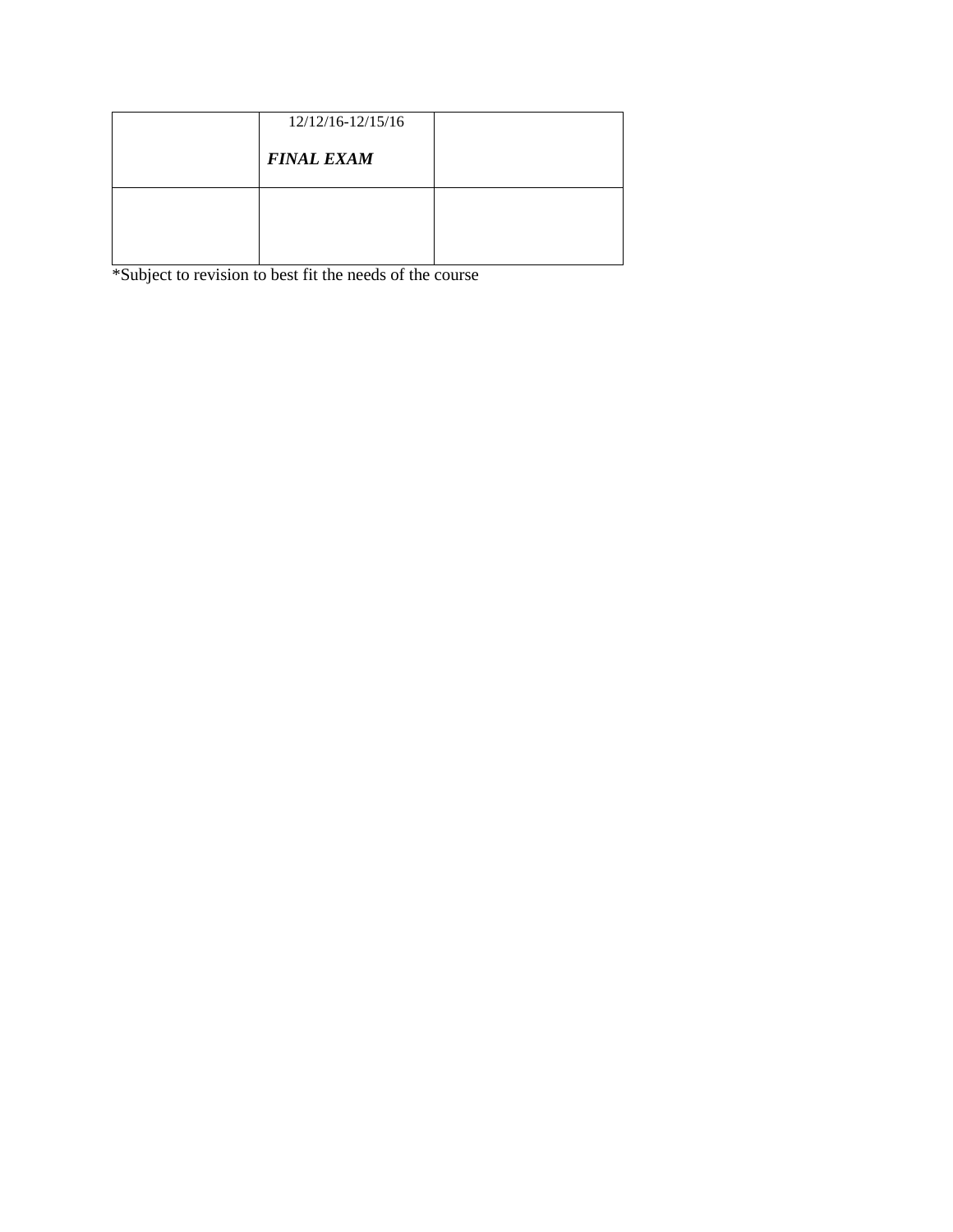| 12/12/16-12/15/16 |  |
|-------------------|--|
| <b>FINAL EXAM</b> |  |
|                   |  |
|                   |  |
|                   |  |

\*Subject to revision to best fit the needs of the course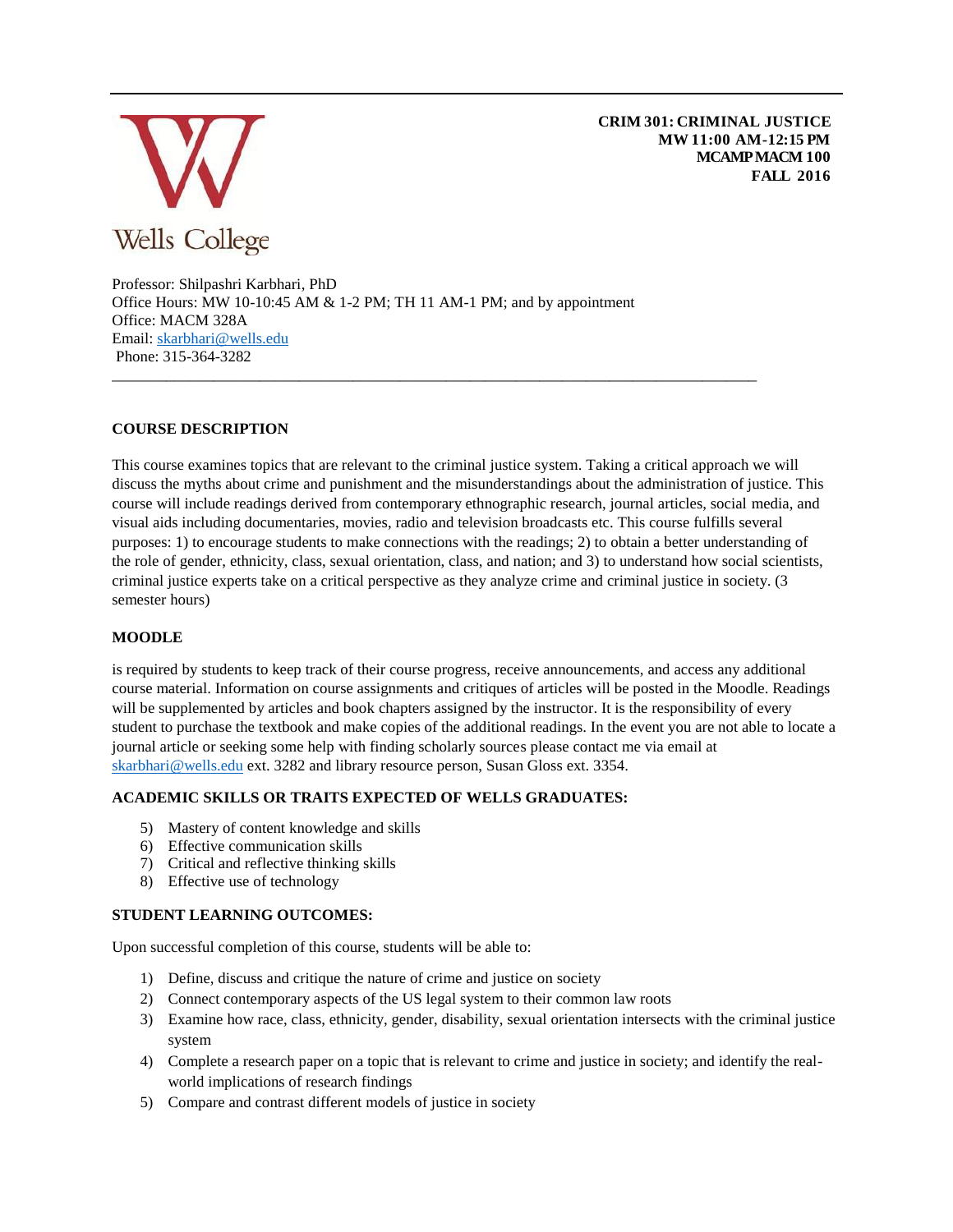

**CRIM 301: CRIMINAL JUSTICE MW 11:00 AM-12:15 PM MCAMP MACM 100 FALL 2016**

Professor: Shilpashri Karbhari, PhD Office Hours: MW 10-10:45 AM & 1-2 PM; TH 11 AM-1 PM; and by appointment Office: MACM 328A Email: [skarbhari@wells.edu](mailto:skarbhari@wells.edu)  Phone: 315-364-3282

#### **COURSE DESCRIPTION**

This course examines topics that are relevant to the criminal justice system. Taking a critical approach we will discuss the myths about crime and punishment and the misunderstandings about the administration of justice. This course will include readings derived from contemporary ethnographic research, journal articles, social media, and visual aids including documentaries, movies, radio and television broadcasts etc. This course fulfills several purposes: 1) to encourage students to make connections with the readings; 2) to obtain a better understanding of the role of gender, ethnicity, class, sexual orientation, class, and nation; and 3) to understand how social scientists, criminal justice experts take on a critical perspective as they analyze crime and criminal justice in society. (3 semester hours)

\_\_\_\_\_\_\_\_\_\_\_\_\_\_\_\_\_\_\_\_\_\_\_\_\_\_\_\_\_\_\_\_\_\_\_\_\_\_\_\_\_\_\_\_\_\_\_\_\_\_\_\_\_\_\_\_\_\_\_\_\_\_\_\_\_\_\_\_\_\_\_\_\_\_\_\_\_\_\_\_\_\_\_

#### **MOODLE**

is required by students to keep track of their course progress, receive announcements, and access any additional course material. Information on course assignments and critiques of articles will be posted in the Moodle. Readings will be supplemented by articles and book chapters assigned by the instructor. It is the responsibility of every student to purchase the textbook and make copies of the additional readings. In the event you are not able to locate a journal article or seeking some help with finding scholarly sources please contact me via email at [skarbhari@wells.edu](mailto:skarbhari@wells.edu) ext. 3282 and library resource person, Susan Gloss ext. 3354.

#### **ACADEMIC SKILLS OR TRAITS EXPECTED OF WELLS GRADUATES:**

- 5) Mastery of content knowledge and skills
- 6) Effective communication skills
- 7) Critical and reflective thinking skills
- 8) Effective use of technology

### **STUDENT LEARNING OUTCOMES:**

Upon successful completion of this course, students will be able to:

- 1) Define, discuss and critique the nature of crime and justice on society
- 2) Connect contemporary aspects of the US legal system to their common law roots
- 3) Examine how race, class, ethnicity, gender, disability, sexual orientation intersects with the criminal justice system
- 4) Complete a research paper on a topic that is relevant to crime and justice in society; and identify the realworld implications of research findings
- 5) Compare and contrast different models of justice in society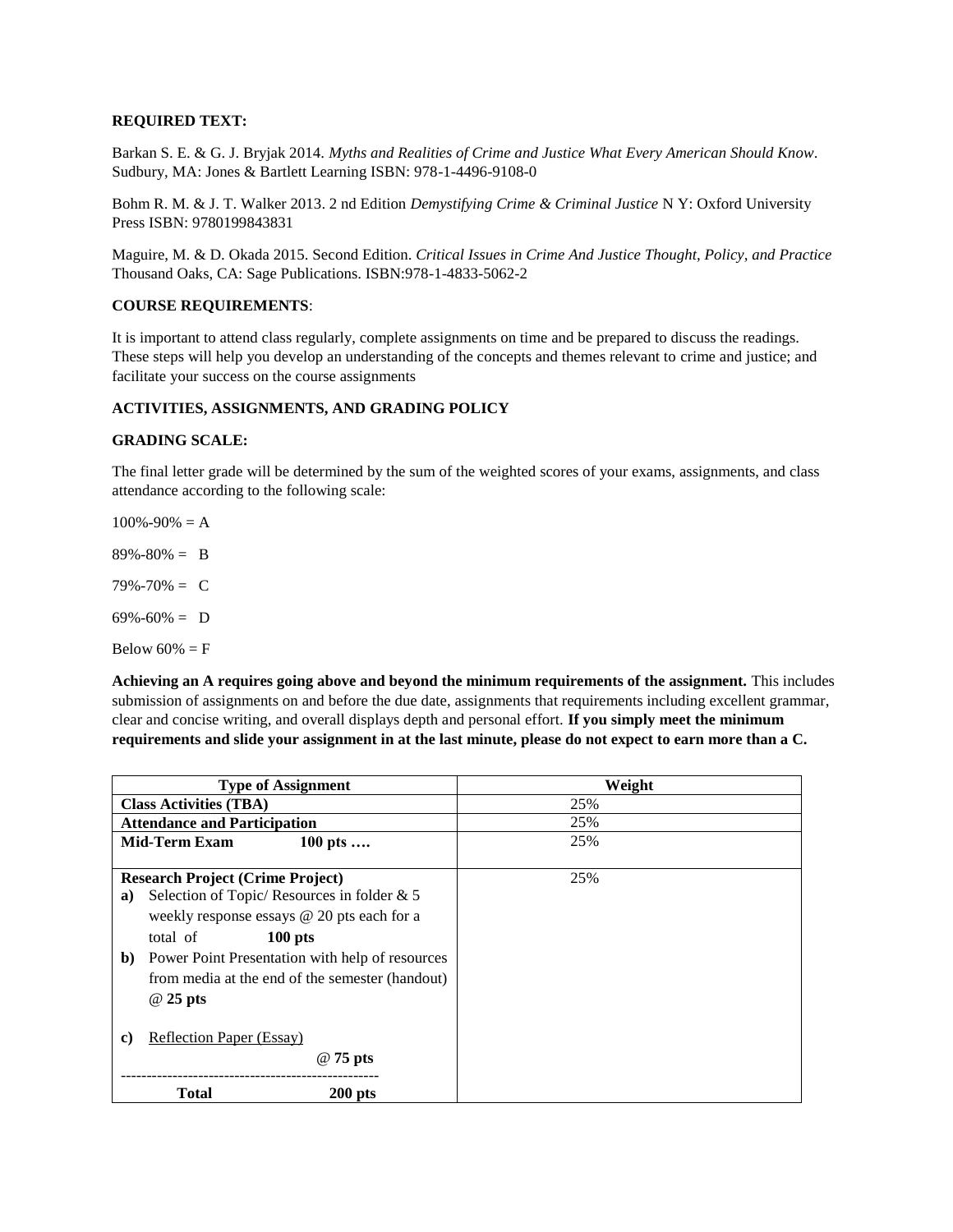#### **REQUIRED TEXT:**

Barkan S. E. & G. J. Bryjak 2014. *Myths and Realities of Crime and Justice What Every American Should Know*. Sudbury, MA: Jones & Bartlett Learning ISBN: 978-1-4496-9108-0

Bohm R. M. & J. T. Walker 2013. 2 nd Edition *Demystifying Crime & Criminal Justice* N Y: Oxford University Press ISBN: 9780199843831

Maguire, M. & D. Okada 2015. Second Edition. *Critical Issues in Crime And Justice Thought, Policy, and Practice* Thousand Oaks, CA: Sage Publications. ISBN:978-1-4833-5062-2

#### **COURSE REQUIREMENTS**:

It is important to attend class regularly, complete assignments on time and be prepared to discuss the readings. These steps will help you develop an understanding of the concepts and themes relevant to crime and justice; and facilitate your success on the course assignments

#### **ACTIVITIES, ASSIGNMENTS, AND GRADING POLICY**

#### **GRADING SCALE:**

The final letter grade will be determined by the sum of the weighted scores of your exams, assignments, and class attendance according to the following scale:

 $100\% - 90\% = A$ 

 $89\% - 80\% = B$ 

79%-70% = C

 $69\% - 60\% = D$ 

Below  $60\% = F$ 

**Achieving an A requires going above and beyond the minimum requirements of the assignment.** This includes submission of assignments on and before the due date, assignments that requirements including excellent grammar, clear and concise writing, and overall displays depth and personal effort. **If you simply meet the minimum requirements and slide your assignment in at the last minute, please do not expect to earn more than a C.**

| <b>Type of Assignment</b>                                       | Weight |
|-----------------------------------------------------------------|--------|
| <b>Class Activities (TBA)</b>                                   | 25%    |
| <b>Attendance and Participation</b>                             | 25%    |
| <b>Mid-Term Exam</b><br>100 pts                                 | 25%    |
|                                                                 |        |
| <b>Research Project (Crime Project)</b>                         | 25%    |
| Selection of Topic/ Resources in folder $& 5$<br>a)             |        |
| weekly response essays $@$ 20 pts each for a                    |        |
| $100$ pts<br>total of                                           |        |
| Power Point Presentation with help of resources<br>$\mathbf{b}$ |        |
| from media at the end of the semester (handout)                 |        |
| @ 25 pts                                                        |        |
|                                                                 |        |
| <b>Reflection Paper (Essay)</b><br>C)                           |        |
| @ 75 pts                                                        |        |
| Total<br>$200$ pts                                              |        |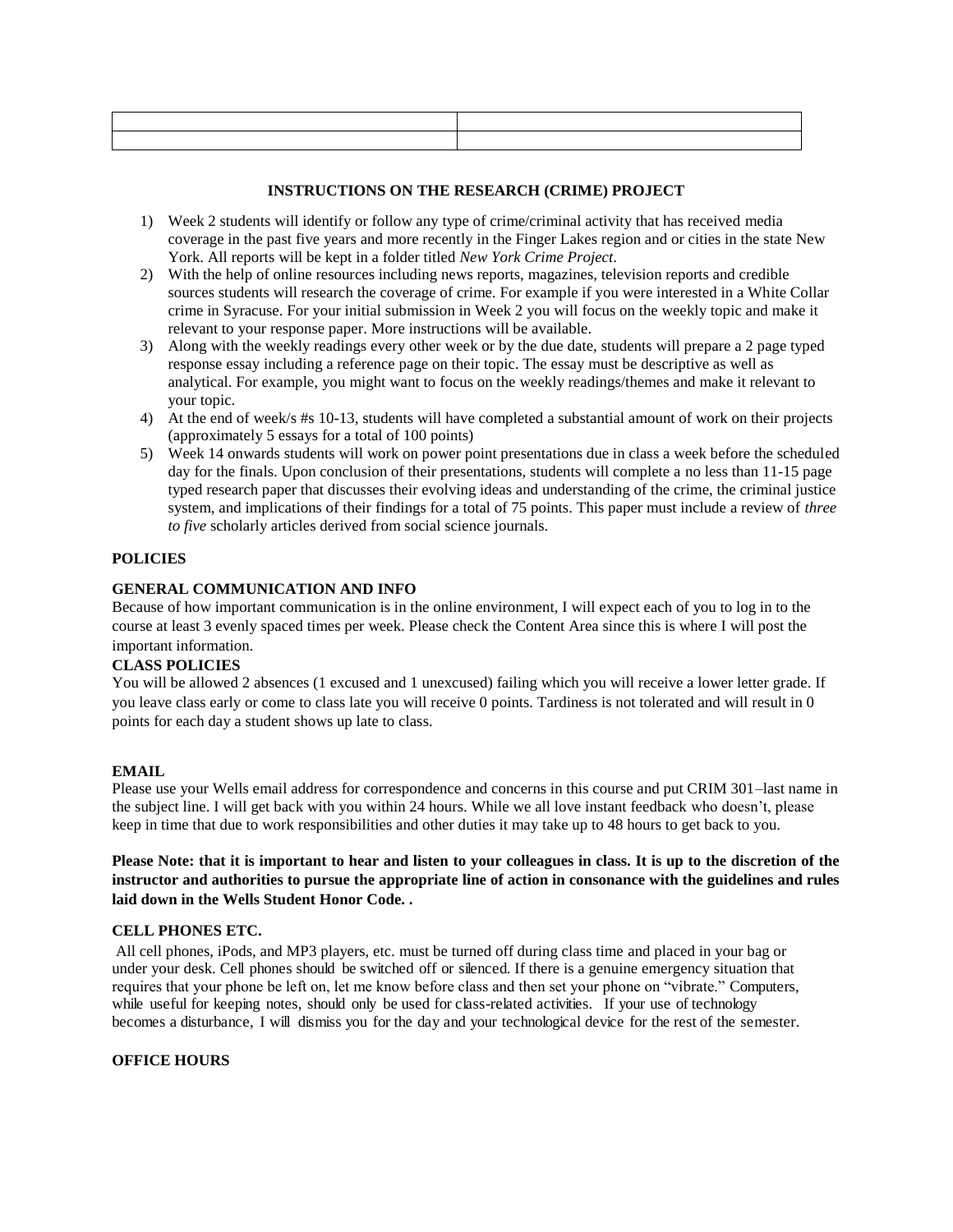#### **INSTRUCTIONS ON THE RESEARCH (CRIME) PROJECT**

- 1) Week 2 students will identify or follow any type of crime/criminal activity that has received media coverage in the past five years and more recently in the Finger Lakes region and or cities in the state New York. All reports will be kept in a folder titled *New York Crime Project*.
- 2) With the help of online resources including news reports, magazines, television reports and credible sources students will research the coverage of crime. For example if you were interested in a White Collar crime in Syracuse. For your initial submission in Week 2 you will focus on the weekly topic and make it relevant to your response paper. More instructions will be available.
- 3) Along with the weekly readings every other week or by the due date, students will prepare a 2 page typed response essay including a reference page on their topic. The essay must be descriptive as well as analytical. For example, you might want to focus on the weekly readings/themes and make it relevant to your topic.
- 4) At the end of week/s #s 10-13, students will have completed a substantial amount of work on their projects (approximately 5 essays for a total of 100 points)
- 5) Week 14 onwards students will work on power point presentations due in class a week before the scheduled day for the finals. Upon conclusion of their presentations, students will complete a no less than 11-15 page typed research paper that discusses their evolving ideas and understanding of the crime, the criminal justice system, and implications of their findings for a total of 75 points. This paper must include a review of *three to five* scholarly articles derived from social science journals.

#### **POLICIES**

#### **GENERAL COMMUNICATION AND INFO**

Because of how important communication is in the online environment, I will expect each of you to log in to the course at least 3 evenly spaced times per week. Please check the Content Area since this is where I will post the important information.

#### **CLASS POLICIES**

You will be allowed 2 absences (1 excused and 1 unexcused) failing which you will receive a lower letter grade. If you leave class early or come to class late you will receive 0 points. Tardiness is not tolerated and will result in 0 points for each day a student shows up late to class.

#### **EMAIL**

Please use your Wells email address for correspondence and concerns in this course and put CRIM 301–last name in the subject line. I will get back with you within 24 hours. While we all love instant feedback who doesn't, please keep in time that due to work responsibilities and other duties it may take up to 48 hours to get back to you.

#### **Please Note: that it is important to hear and listen to your colleagues in class. It is up to the discretion of the instructor and authorities to pursue the appropriate line of action in consonance with the guidelines and rules laid down in the Wells Student Honor Code. .**

#### **CELL PHONES ETC.**

All cell phones, iPods, and MP3 players, etc. must be turned off during class time and placed in your bag or under your desk. Cell phones should be switched off or silenced. If there is a genuine emergency situation that requires that your phone be left on, let me know before class and then set your phone on "vibrate." Computers, while useful for keeping notes, should only be used for class-related activities. If your use of technology becomes a disturbance, I will dismiss you for the day and your technological device for the rest of the semester.

#### **OFFICE HOURS**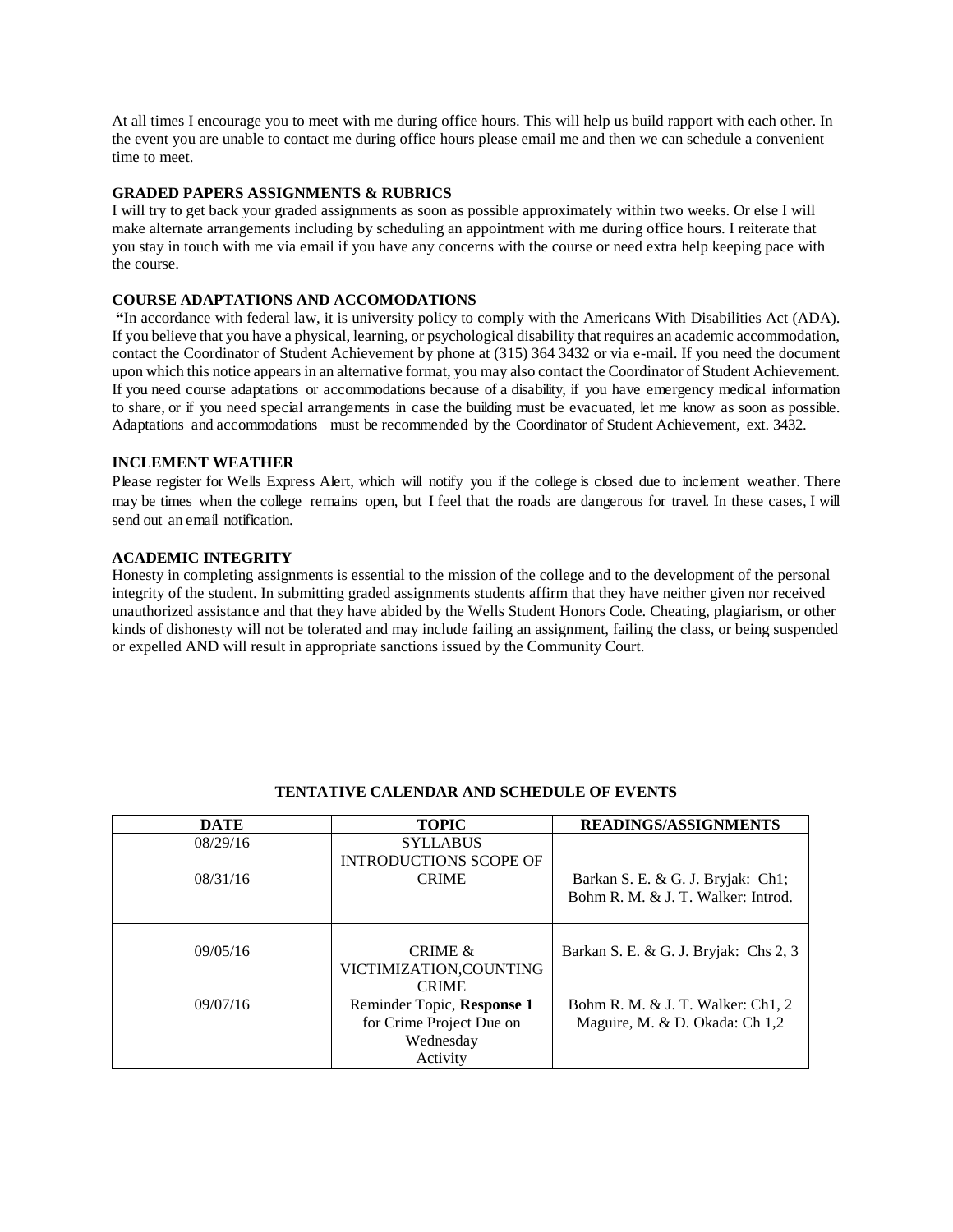At all times I encourage you to meet with me during office hours. This will help us build rapport with each other. In the event you are unable to contact me during office hours please email me and then we can schedule a convenient time to meet.

#### **GRADED PAPERS ASSIGNMENTS & RUBRICS**

I will try to get back your graded assignments as soon as possible approximately within two weeks. Or else I will make alternate arrangements including by scheduling an appointment with me during office hours. I reiterate that you stay in touch with me via email if you have any concerns with the course or need extra help keeping pace with the course.

#### **COURSE ADAPTATIONS AND ACCOMODATIONS**

**"**In accordance with federal law, it is university policy to comply with the Americans With Disabilities Act (ADA). If you believe that you have a physical, learning, or psychological disability that requires an academic accommodation, contact the Coordinator of Student Achievement by phone at (315) 364 3432 or via e-mail. If you need the document upon which this notice appears in an alternative format, you may also contact the Coordinator of Student Achievement. If you need course adaptations or accommodations because of a disability, if you have emergency medical information to share, or if you need special arrangements in case the building must be evacuated, let me know as soon as possible. Adaptations and accommodations must be recommended by the Coordinator of Student Achievement, ext. 3432.

#### **INCLEMENT WEATHER**

Please register for Wells Express Alert, which will notify you if the college is closed due to inclement weather. There may be times when the college remains open, but I feel that the roads are dangerous for travel. In these cases, I will send out an email notification.

#### **ACADEMIC INTEGRITY**

Honesty in completing assignments is essential to the mission of the college and to the development of the personal integrity of the student. In submitting graded assignments students affirm that they have neither given nor received unauthorized assistance and that they have abided by the Wells Student Honors Code. Cheating, plagiarism, or other kinds of dishonesty will not be tolerated and may include failing an assignment, failing the class, or being suspended or expelled AND will result in appropriate sanctions issued by the Community Court.

| <b>DATE</b> | <b>TOPIC</b>                  | <b>READINGS/ASSIGNMENTS</b>           |
|-------------|-------------------------------|---------------------------------------|
| 08/29/16    | <b>SYLLABUS</b>               |                                       |
|             | <b>INTRODUCTIONS SCOPE OF</b> |                                       |
| 08/31/16    | <b>CRIME</b>                  | Barkan S. E. & G. J. Bryjak: Ch1;     |
|             |                               | Bohm R. M. & J. T. Walker: Introd.    |
|             |                               |                                       |
|             |                               |                                       |
| 09/05/16    | CRIME $\&$                    | Barkan S. E. & G. J. Bryjak: Chs 2, 3 |
|             | VICTIMIZATION, COUNTING       |                                       |
|             | <b>CRIME</b>                  |                                       |
| 09/07/16    | Reminder Topic, Response 1    | Bohm R. M. & J. T. Walker: Ch1, 2     |
|             | for Crime Project Due on      | Maguire, M. & D. Okada: Ch 1,2        |
|             | Wednesday                     |                                       |
|             | Activity                      |                                       |

#### **TENTATIVE CALENDAR AND SCHEDULE OF EVENTS**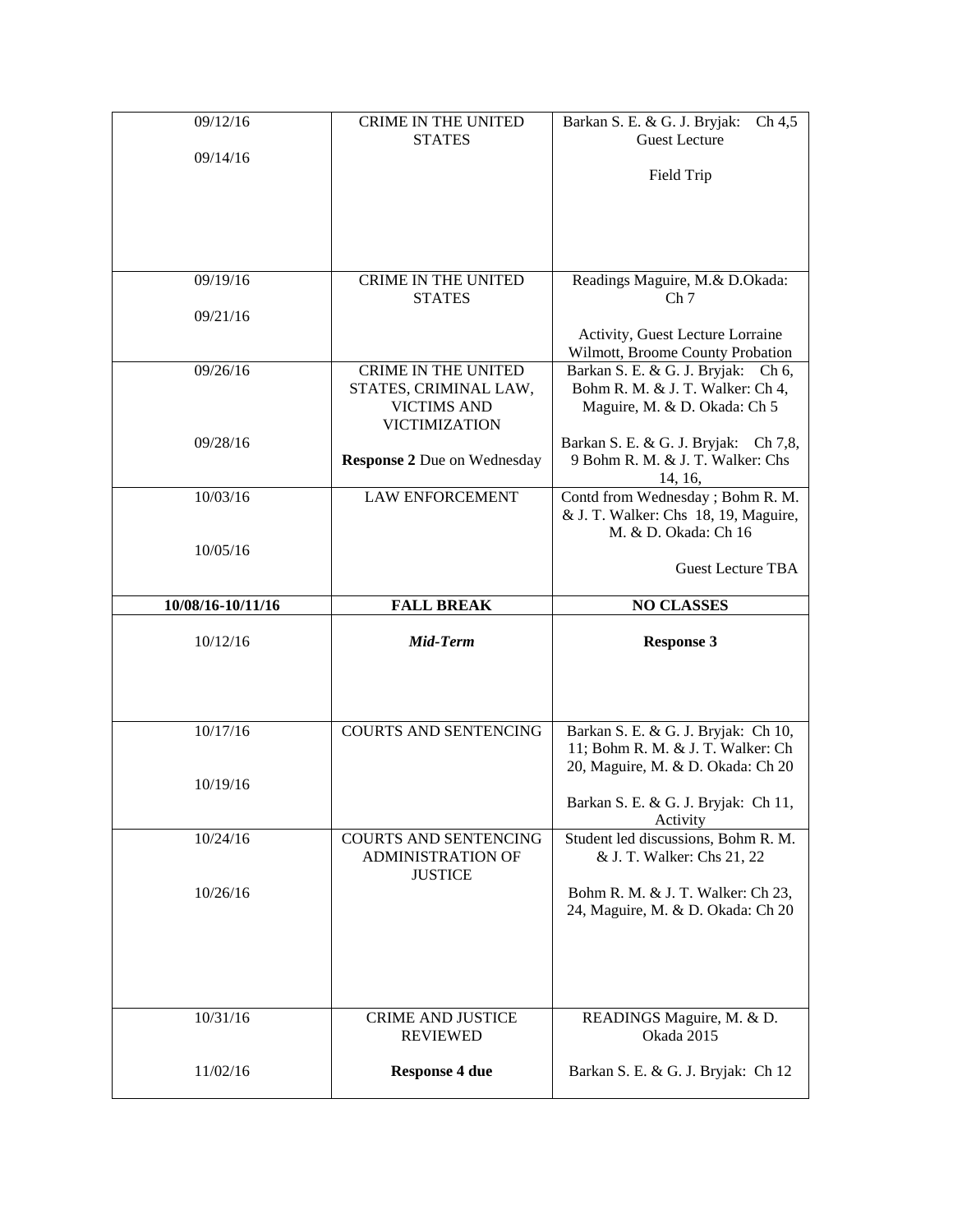| 09/12/16<br>09/14/16 | <b>CRIME IN THE UNITED</b><br><b>STATES</b>                                                       | Barkan S. E. & G. J. Bryjak:<br>Ch 4, 5<br><b>Guest Lecture</b>                                        |
|----------------------|---------------------------------------------------------------------------------------------------|--------------------------------------------------------------------------------------------------------|
|                      |                                                                                                   | Field Trip                                                                                             |
| 09/19/16             | <b>CRIME IN THE UNITED</b><br><b>STATES</b>                                                       | Readings Maguire, M.& D.Okada:<br>Ch <sub>7</sub>                                                      |
| 09/21/16             |                                                                                                   | Activity, Guest Lecture Lorraine                                                                       |
|                      |                                                                                                   | Wilmott, Broome County Probation                                                                       |
| 09/26/16             | <b>CRIME IN THE UNITED</b><br>STATES, CRIMINAL LAW,<br><b>VICTIMS AND</b><br><b>VICTIMIZATION</b> | Barkan S. E. & G. J. Bryjak: Ch 6,<br>Bohm R. M. & J. T. Walker: Ch 4,<br>Maguire, M. & D. Okada: Ch 5 |
| 09/28/16             | <b>Response 2 Due on Wednesday</b>                                                                | Barkan S. E. & G. J. Bryjak: Ch 7,8,<br>9 Bohm R. M. & J. T. Walker: Chs<br>14, 16,                    |
| 10/03/16             | <b>LAW ENFORCEMENT</b>                                                                            | Contd from Wednesday; Bohm R. M.<br>& J. T. Walker: Chs 18, 19, Maguire,                               |
| 10/05/16             |                                                                                                   | M. & D. Okada: Ch 16<br><b>Guest Lecture TBA</b>                                                       |
|                      |                                                                                                   |                                                                                                        |
| 10/08/16-10/11/16    | <b>FALL BREAK</b>                                                                                 | <b>NO CLASSES</b>                                                                                      |
| 10/12/16             | Mid-Term                                                                                          | <b>Response 3</b>                                                                                      |
|                      |                                                                                                   |                                                                                                        |
| 10/17/16             | <b>COURTS AND SENTENCING</b>                                                                      | Barkan S. E. & G. J. Bryjak: Ch 10,<br>11; Bohm R. M. & J. T. Walker: Ch                               |
| 10/19/16             |                                                                                                   | 20, Maguire, M. & D. Okada: Ch 20<br>Barkan S. E. & G. J. Bryjak: Ch 11,                               |
| 10/24/16             | <b>COURTS AND SENTENCING</b><br>ADMINISTRATION OF                                                 | Activity<br>Student led discussions, Bohm R. M.<br>& J. T. Walker: Chs 21, 22                          |
| 10/26/16             | <b>JUSTICE</b>                                                                                    | Bohm R. M. & J. T. Walker: Ch 23,<br>24, Maguire, M. & D. Okada: Ch 20                                 |
|                      |                                                                                                   |                                                                                                        |
| 10/31/16             | <b>CRIME AND JUSTICE</b><br><b>REVIEWED</b>                                                       | READINGS Maguire, M. & D.<br>Okada 2015                                                                |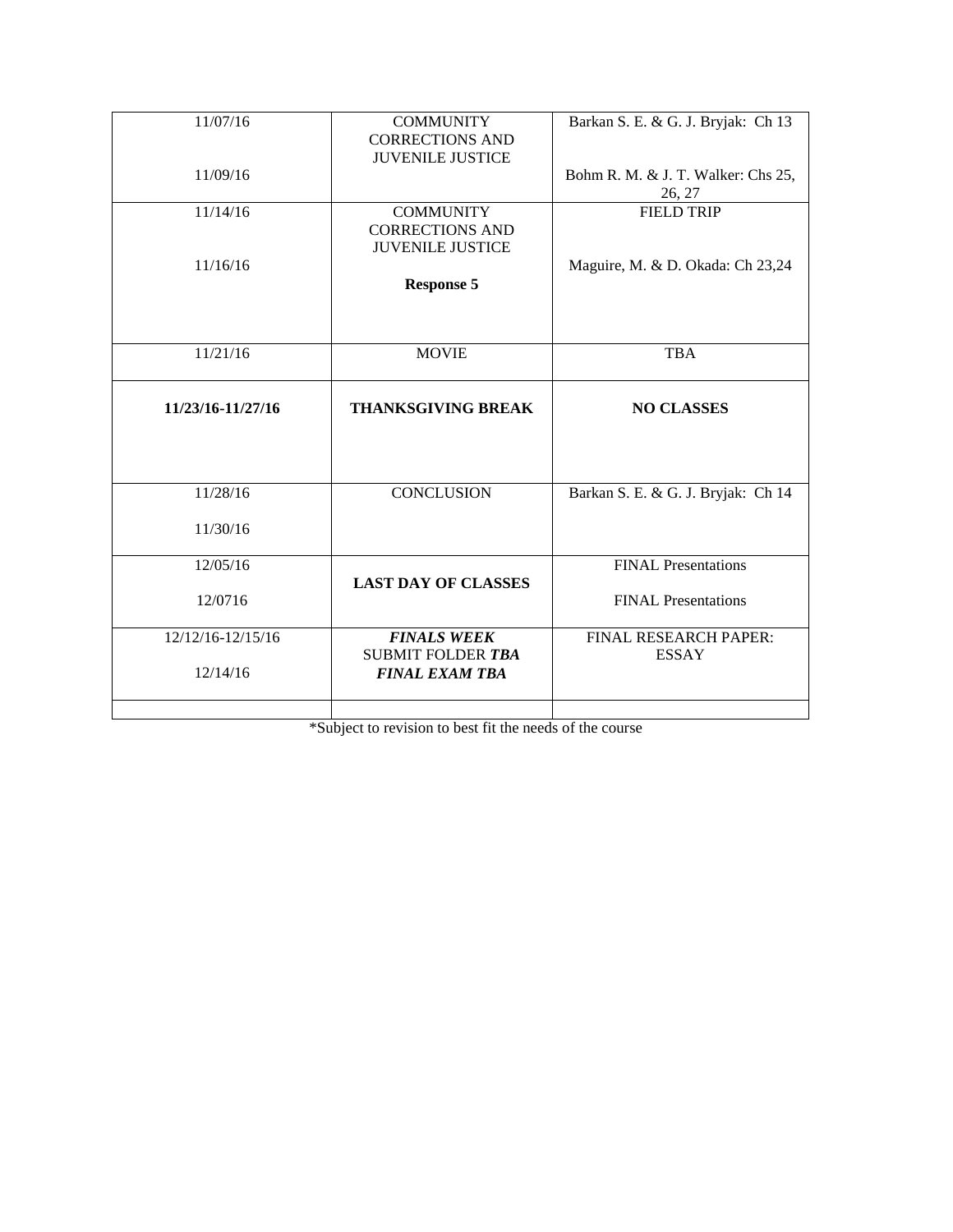| 11/07/16          |                            |                                    |
|-------------------|----------------------------|------------------------------------|
|                   | <b>COMMUNITY</b>           | Barkan S. E. & G. J. Bryjak: Ch 13 |
|                   | <b>CORRECTIONS AND</b>     |                                    |
|                   | <b>JUVENILE JUSTICE</b>    |                                    |
| 11/09/16          |                            | Bohm R. M. & J. T. Walker: Chs 25, |
|                   |                            | 26, 27                             |
| 11/14/16          | <b>COMMUNITY</b>           | <b>FIELD TRIP</b>                  |
|                   | <b>CORRECTIONS AND</b>     |                                    |
|                   | <b>JUVENILE JUSTICE</b>    |                                    |
|                   |                            |                                    |
| 11/16/16          |                            | Maguire, M. & D. Okada: Ch 23,24   |
|                   | <b>Response 5</b>          |                                    |
|                   |                            |                                    |
|                   |                            |                                    |
|                   |                            |                                    |
| 11/21/16          | <b>MOVIE</b>               | <b>TBA</b>                         |
|                   |                            |                                    |
|                   |                            |                                    |
|                   |                            |                                    |
| 11/23/16-11/27/16 | <b>THANKSGIVING BREAK</b>  | <b>NO CLASSES</b>                  |
|                   |                            |                                    |
|                   |                            |                                    |
|                   |                            |                                    |
|                   |                            |                                    |
| 11/28/16          | <b>CONCLUSION</b>          | Barkan S. E. & G. J. Bryjak: Ch 14 |
|                   |                            |                                    |
| 11/30/16          |                            |                                    |
|                   |                            |                                    |
| 12/05/16          |                            | <b>FINAL Presentations</b>         |
|                   | <b>LAST DAY OF CLASSES</b> |                                    |
| 12/0716           |                            | <b>FINAL Presentations</b>         |
|                   |                            |                                    |
| 12/12/16-12/15/16 | <b>FINALS WEEK</b>         | FINAL RESEARCH PAPER:              |
|                   | <b>SUBMIT FOLDER TBA</b>   | <b>ESSAY</b>                       |
| 12/14/16          | <b>FINAL EXAM TBA</b>      |                                    |
|                   |                            |                                    |

\*Subject to revision to best fit the needs of the course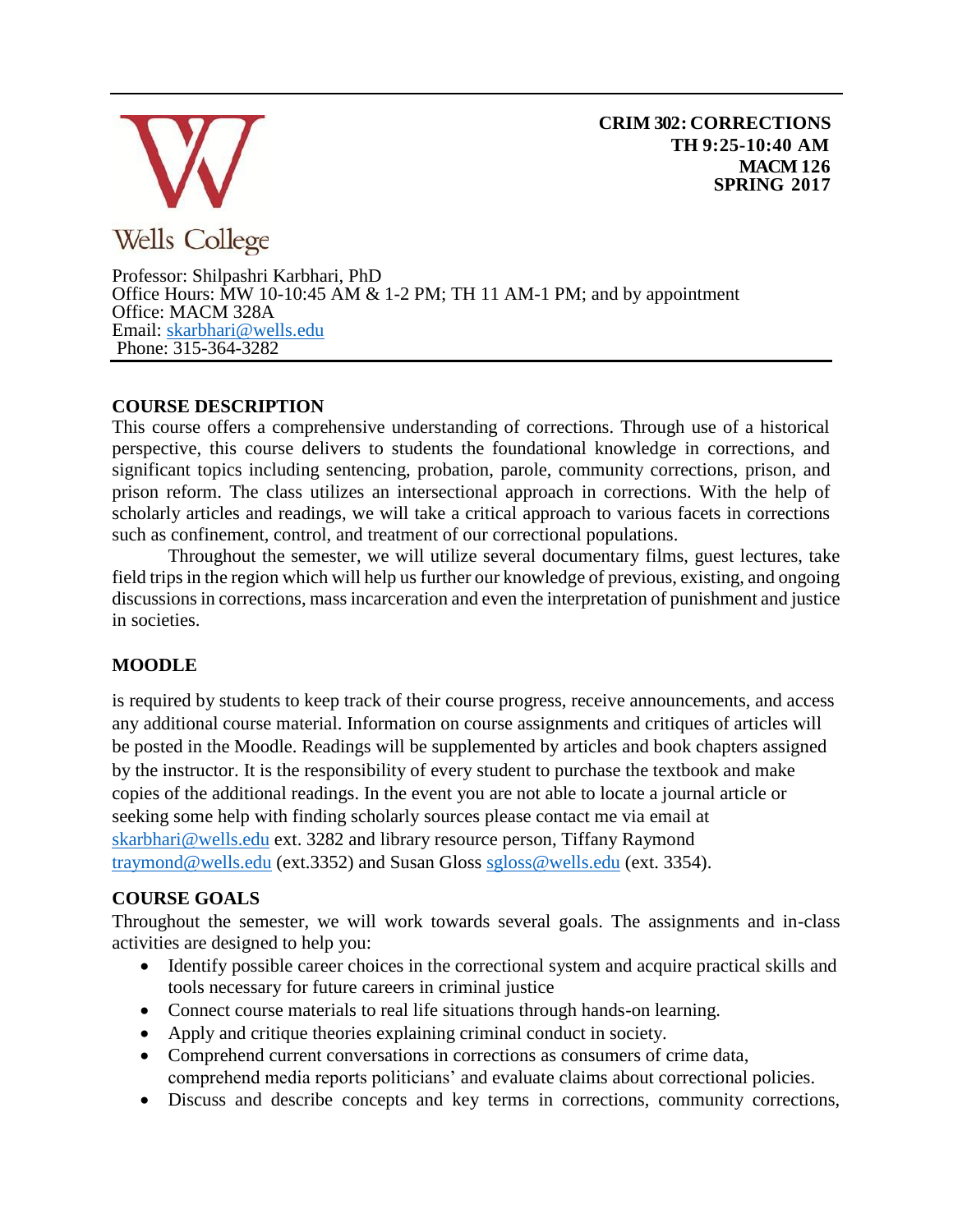

**CRIM 302: CORRECTIONS TH 9:25-10:40 AM MACM 126 SPRING 2017**

Professor: Shilpashri Karbhari, PhD Office Hours:  $\dot{M}W$  10-10:45 AM & 1-2 PM; TH 11 AM-1 PM; and by appointment Office: MACM 328A Email: [skarbhari@wells.edu](mailto:skarbhari@wells.edu)  Phone: 315-364-3282

# **COURSE DESCRIPTION**

This course offers a comprehensive understanding of corrections. Through use of a historical perspective, this course delivers to students the foundational knowledge in corrections, and significant topics including sentencing, probation, parole, community corrections, prison, and prison reform. The class utilizes an intersectional approach in corrections. With the help of scholarly articles and readings, we will take a critical approach to various facets in corrections such as confinement, control, and treatment of our correctional populations.

Throughout the semester, we will utilize several documentary films, guest lectures, take field trips in the region which will help us further our knowledge of previous, existing, and ongoing discussions in corrections, mass incarceration and even the interpretation of punishment and justice in societies.

# **MOODLE**

is required by students to keep track of their course progress, receive announcements, and access any additional course material. Information on course assignments and critiques of articles will be posted in the Moodle. Readings will be supplemented by articles and book chapters assigned by the instructor. It is the responsibility of every student to purchase the textbook and make copies of the additional readings. In the event you are not able to locate a journal article or seeking some help with finding scholarly sources please contact me via email at [skarbhari@wells.edu](mailto:skarbhari@wells.edu) ext. 3282 and library resource person, Tiffany Raymond [traymond@wells.edu](mailto:lhoff@wells.edu) (ext.3352) and Susan Gloss [sgloss@wells.edu](mailto:sgloss@wells.edu) (ext. 3354).

### **COURSE GOALS**

Throughout the semester, we will work towards several goals. The assignments and in-class activities are designed to help you:

- Identify possible career choices in the correctional system and acquire practical skills and tools necessary for future careers in criminal justice
- Connect course materials to real life situations through hands-on learning.
- Apply and critique theories explaining criminal conduct in society.
- Comprehend current conversations in corrections as consumers of crime data, comprehend media reports politicians' and evaluate claims about correctional policies.
- Discuss and describe concepts and key terms in corrections, community corrections,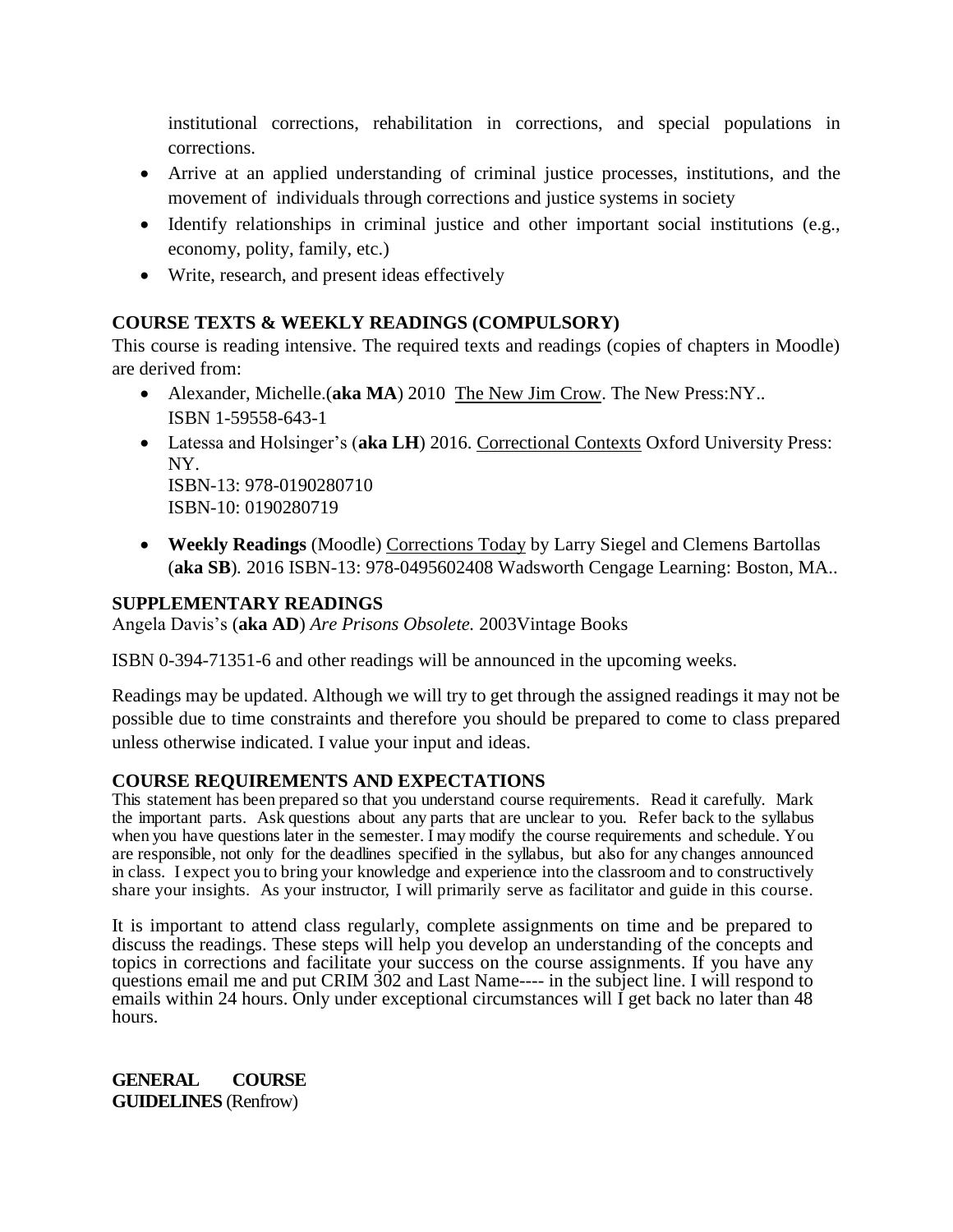institutional corrections, rehabilitation in corrections, and special populations in corrections.

- Arrive at an applied understanding of criminal justice processes, institutions, and the movement of individuals through corrections and justice systems in society
- Identify relationships in criminal justice and other important social institutions (e.g., economy, polity, family, etc.)
- Write, research, and present ideas effectively

# **COURSE TEXTS & WEEKLY READINGS (COMPULSORY)**

This course is reading intensive. The required texts and readings (copies of chapters in Moodle) are derived from:

- Alexander, Michelle.(**aka MA**) 2010 The New Jim Crow. The New Press:NY.. ISBN 1-59558-643-1
- Latessa and Holsinger's (**aka LH**) 2016. Correctional Contexts Oxford University Press: NY. ISBN-13: 978-0190280710 ISBN-10: 0190280719
- **Weekly Readings** (Moodle) Corrections Today by Larry Siegel and Clemens Bartollas (**aka SB**)*.* 2016 ISBN-13: 978-0495602408 Wadsworth Cengage Learning: Boston, MA..

# **SUPPLEMENTARY READINGS**

Angela Davis's (**aka AD**) *Are Prisons Obsolete.* 2003Vintage Books

ISBN 0-394-71351-6 and other readings will be announced in the upcoming weeks.

Readings may be updated. Although we will try to get through the assigned readings it may not be possible due to time constraints and therefore you should be prepared to come to class prepared unless otherwise indicated. I value your input and ideas.

# **COURSE REQUIREMENTS AND EXPECTATIONS**

This statement has been prepared so that you understand course requirements. Read it carefully. Mark the important parts. Ask questions about any parts that are unclear to you. Refer back to the syllabus when you have questions later in the semester. I may modify the course requirements and schedule. You are responsible, not only for the deadlines specified in the syllabus, but also for any changes announced in class. I expect you to bring your knowledge and experience into the classroom and to constructively share your insights. As your instructor, I will primarily serve as facilitator and guide in this course.

It is important to attend class regularly, complete assignments on time and be prepared to discuss the readings. These steps will help you develop an understanding of the concepts and topics in corrections and facilitate your success on the course assignments. If you have any questions email me and put CRIM 302 and Last Name---- in the subject line. I will respond to emails within 24 hours. Only under exceptional circumstances will I get back no later than 48 hours.

**GENERAL COURSE GUIDELINES** (Renfrow)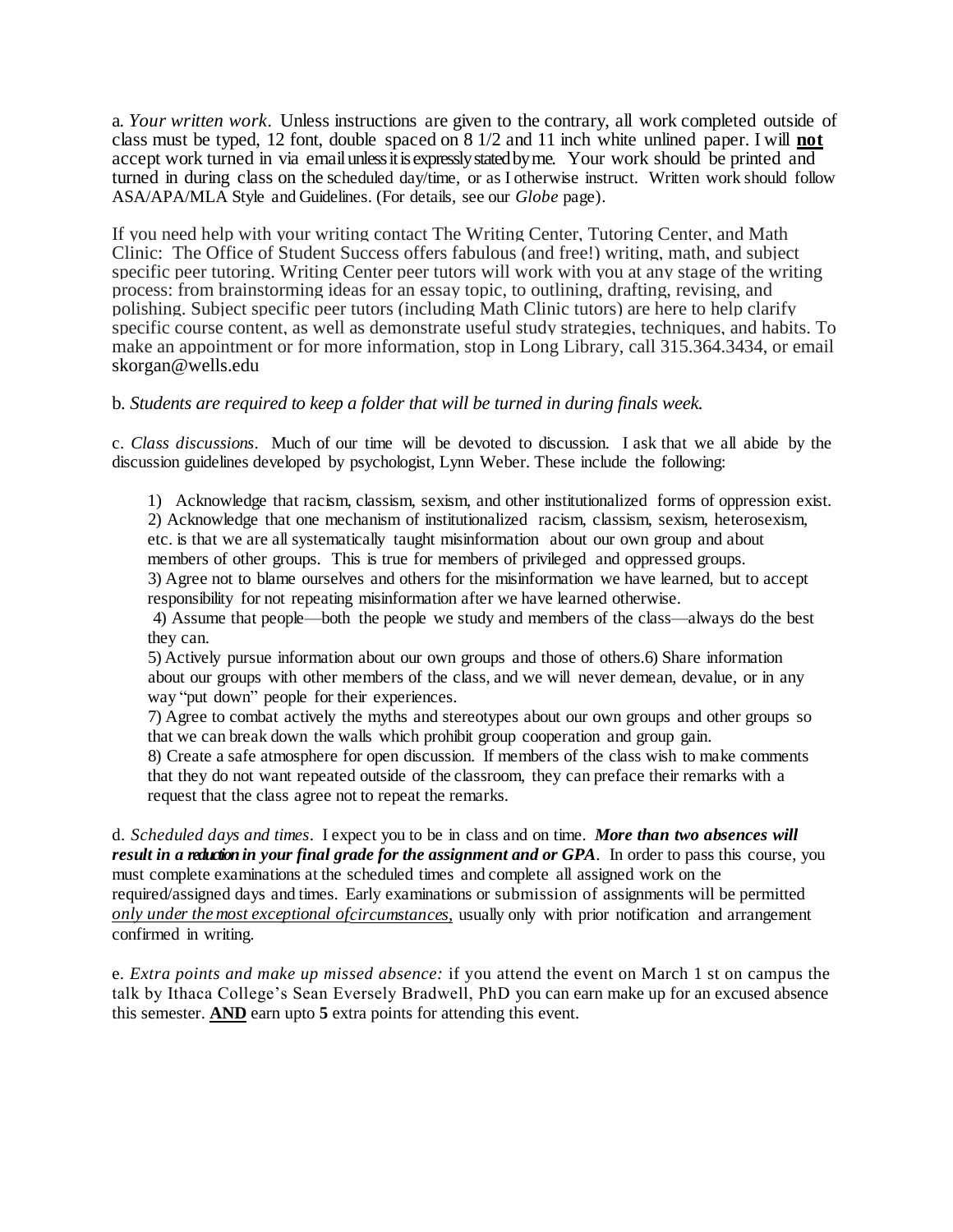a*. Your written work*. Unless instructions are given to the contrary, all work completed outside of class must be typed, 12 font, double spaced on 8 1/2 and 11 inch white unlined paper. I will **not**  accept work turned in via email unless it is expressly stated by me. Your work should be printed and turned in during class on the scheduled day/time, or as I otherwise instruct. Written work should follow ASA/APA/MLA Style and Guidelines. (For details, see our *Globe* page).

If you need help with your writing contact The Writing Center, Tutoring Center, and Math Clinic: The Office of Student Success offers fabulous (and free!) writing, math, and subject specific peer tutoring. Writing Center peer tutors will work with you at any stage of the writing process: from brainstorming ideas for an essay topic, to outlining, drafting, revising, and polishing. Subject specific peer tutors (including Math Clinic tutors) are here to help clarify specific course content, as well as demonstrate useful study strategies, techniques, and habits. To make an appointment or for more information, stop in Long Library, call 315.364.3434, or email [skorgan@wells.edu](mailto:skorgan@wells.edu)

### b*. Students are required to keep a folder that will be turned in during finals week.*

c. *Class discussions*. Much of our time will be devoted to discussion. I ask that we all abide by the discussion guidelines developed by psychologist, Lynn Weber. These include the following:

1) Acknowledge that racism, classism, sexism, and other institutionalized forms of oppression exist. 2) Acknowledge that one mechanism of institutionalized racism, classism, sexism, heterosexism, etc. is that we are all systematically taught misinformation about our own group and about members of other groups. This is true for members of privileged and oppressed groups.

3) Agree not to blame ourselves and others for the misinformation we have learned, but to accept responsibility for not repeating misinformation after we have learned otherwise.

4) Assume that people—both the people we study and members of the class—always do the best they can.

5) Actively pursue information about our own groups and those of others.6) Share information about our groups with other members of the class, and we will never demean, devalue, or in any way "put down" people for their experiences.

7) Agree to combat actively the myths and stereotypes about our own groups and other groups so that we can break down the walls which prohibit group cooperation and group gain.

8) Create a safe atmosphere for open discussion. If members of the class wish to make comments that they do not want repeated outside of the classroom, they can preface their remarks with a request that the class agree not to repeat the remarks.

d*. Scheduled days and times*. I expect you to be in class and on time. *More than two absences will result in a reduction in your final grade for the assignment and or GPA*. In order to pass this course, you must complete examinations at the scheduled times and complete all assigned work on the required/assigned days and times. Early examinations or submission of assignments will be permitted *only under the most exceptional ofcircumstances,* usually only with prior notification and arrangement confirmed in writing.

e*. Extra points and make up missed absence:* if you attend the event on March 1 st on campus the talk by Ithaca College's Sean Eversely Bradwell, PhD you can earn make up for an excused absence this semester. **AND** earn upto **5** extra points for attending this event.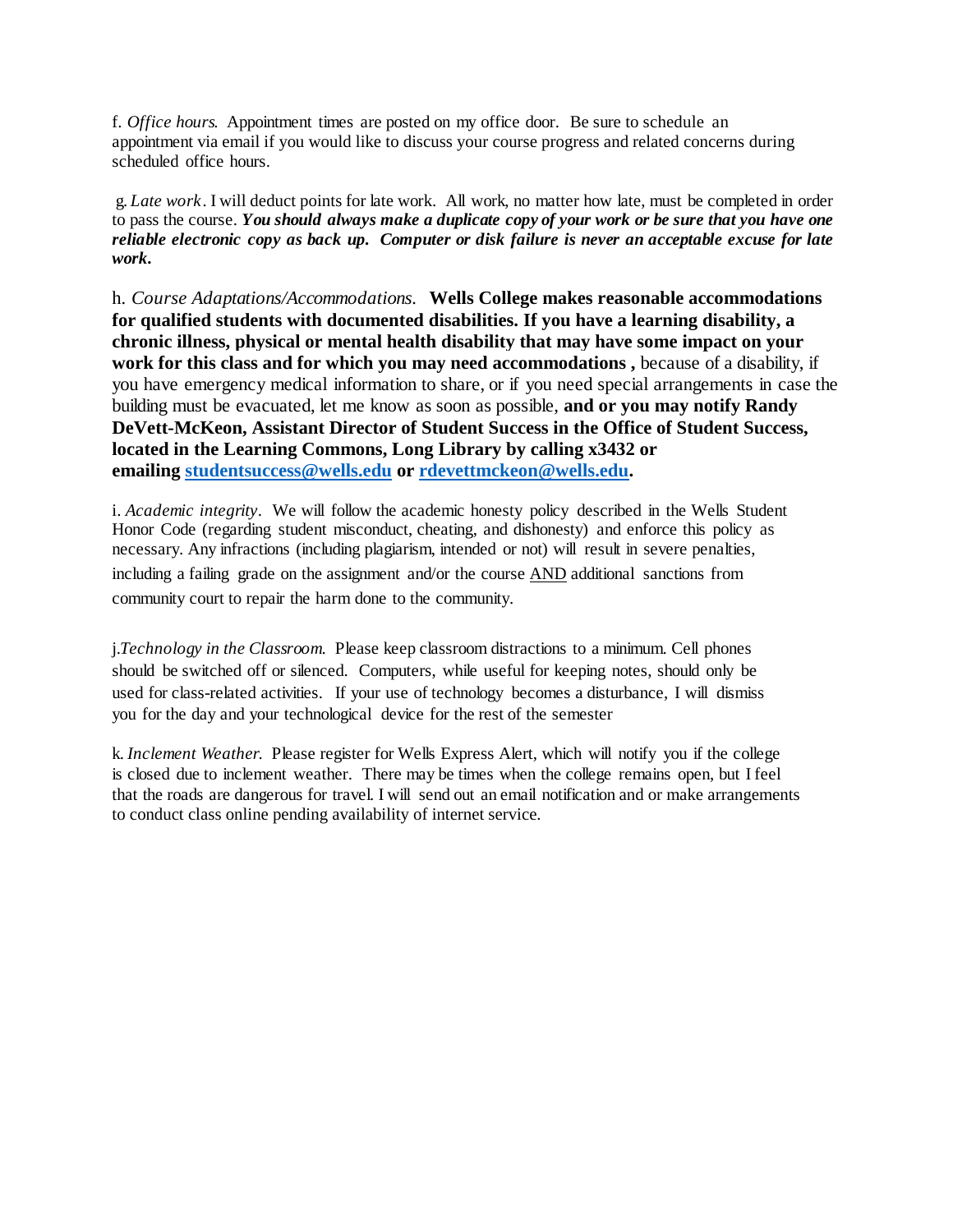f*. Office hours.* Appointment times are posted on my office door. Be sure to schedule an appointment via email if you would like to discuss your course progress and related concerns during scheduled office hours.

g*. Late work*. I will deduct points for late work. All work, no matter how late, must be completed in order to pass the course. *You should always make a duplicate copy of your work or be sure that you have one reliable electronic copy as back up. Computer or disk failure is never an acceptable excuse for late work.*

h*. Course Adaptations/Accommodations.* **Wells College makes reasonable accommodations for qualified students with documented disabilities. If you have a learning disability, a chronic illness, physical or mental health disability that may have some impact on your work for this class and for which you may need accommodations ,** because of a disability, if you have emergency medical information to share, or if you need special arrangements in case the building must be evacuated, let me know as soon as possible, **and or you may notify Randy DeVett-McKeon, Assistant Director of Student Success in the Office of Student Success, located in the Learning Commons, Long Library by calling x3432 or emailing [studentsuccess@wells.edu](mailto:studentsuccess@wells.edu) or [rdevettmckeon@wells.edu.](mailto:rdevettmckeon@wells.edu)**

i. *Academic integrity*. We will follow the academic honesty policy described in the Wells Student Honor Code (regarding student misconduct, cheating, and dishonesty) and enforce this policy as necessary. Any infractions (including plagiarism, intended or not) will result in severe penalties, including a failing grade on the assignment and/or the course AND additional sanctions from community court to repair the harm done to the community.

j.*Technology in the Classroom*. Please keep classroom distractions to a minimum. Cell phones should be switched off or silenced. Computers, while useful for keeping notes, should only be used for class-related activities. If your use of technology becomes a disturbance, I will dismiss you for the day and your technological device for the rest of the semester

k. *Inclement Weather.* Please register for Wells Express Alert, which will notify you if the college is closed due to inclement weather. There may be times when the college remains open, but I feel that the roads are dangerous for travel. I will send out an email notification and or make arrangements to conduct class online pending availability of internet service.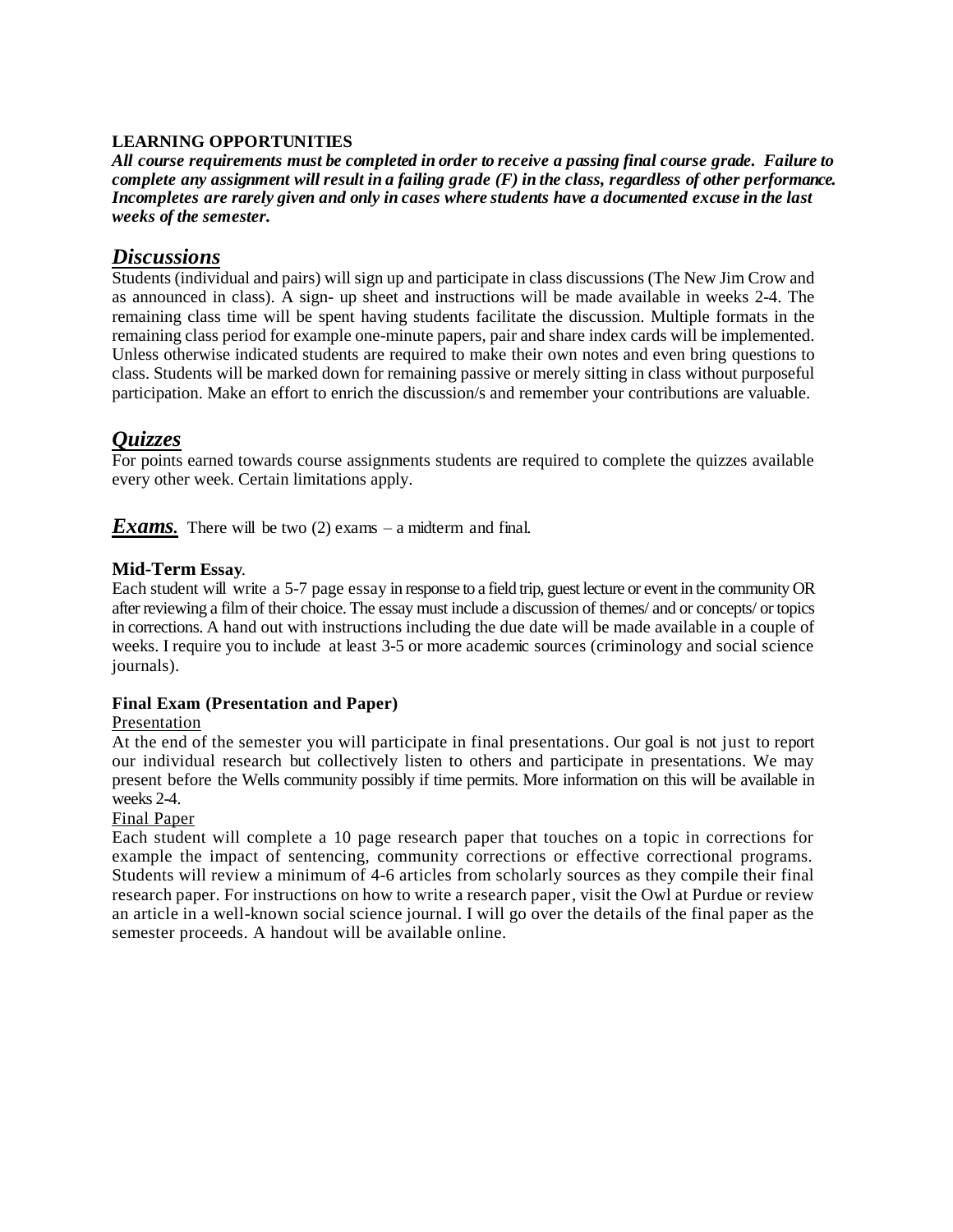### **LEARNING OPPORTUNITIES**

*All course requirements must be completed in order to receive a passing final course grade. Failure to*  complete any assignment will result in a failing grade  $(F)$  in the class, regardless of other performance. *Incompletes are rarely given and only in cases where students have a documented excuse in the last weeks of the semester.*

### *Discussions*

Students (individual and pairs) will sign up and participate in class discussions (The New Jim Crow and as announced in class). A sign- up sheet and instructions will be made available in weeks 2-4. The remaining class time will be spent having students facilitate the discussion. Multiple formats in the remaining class period for example one-minute papers, pair and share index cards will be implemented. Unless otherwise indicated students are required to make their own notes and even bring questions to class. Students will be marked down for remaining passive or merely sitting in class without purposeful participation. Make an effort to enrich the discussion/s and remember your contributions are valuable.

# *Quizzes*

For points earned towards course assignments students are required to complete the quizzes available every other week. Certain limitations apply.

*Exams*. There will be two (2) exams – a midterm and final.

### **Mid-Term Essay***.*

Each student will write a 5-7 page essay in response to a field trip, guest lecture or event in the community OR after reviewing a film of their choice. The essay must include a discussion of themes/ and or concepts/ or topics in corrections. A hand out with instructions including the due date will be made available in a couple of weeks. I require you to include at least 3-5 or more academic sources (criminology and social science journals).

### **Final Exam (Presentation and Paper)**

### Presentation

At the end of the semester you will participate in final presentations. Our goal is not just to report our individual research but collectively listen to others and participate in presentations. We may present before the Wells community possibly if time permits. More information on this will be available in weeks 2-4.

### Final Paper

Each student will complete a 10 page research paper that touches on a topic in corrections for example the impact of sentencing, community corrections or effective correctional programs. Students will review a minimum of 4-6 articles from scholarly sources as they compile their final research paper. For instructions on how to write a research paper, visit the Owl at Purdue or review an article in a well-known social science journal. I will go over the details of the final paper as the semester proceeds. A handout will be available online.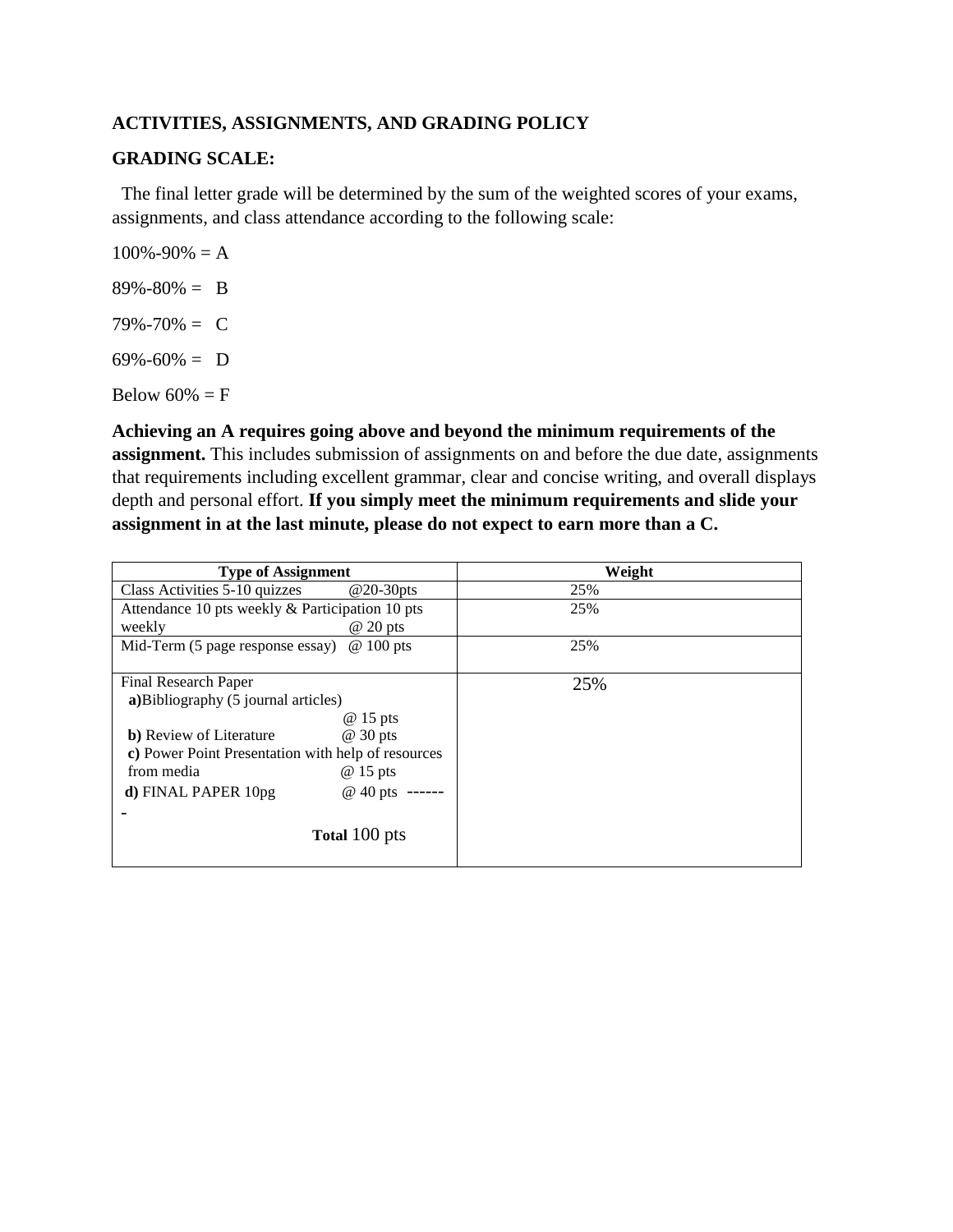# **ACTIVITIES, ASSIGNMENTS, AND GRADING POLICY**

### **GRADING SCALE:**

 The final letter grade will be determined by the sum of the weighted scores of your exams, assignments, and class attendance according to the following scale:

 $100\% - 90\% = A$  $89\% - 80\% = B$  $79\% - 70\% = C$  $69\% - 60\% = D$ Below  $60\% = F$ 

**Achieving an A requires going above and beyond the minimum requirements of the assignment.** This includes submission of assignments on and before the due date, assignments that requirements including excellent grammar, clear and concise writing, and overall displays depth and personal effort. **If you simply meet the minimum requirements and slide your assignment in at the last minute, please do not expect to earn more than a C.**

| <b>Type of Assignment</b>                          |                      | Weight |
|----------------------------------------------------|----------------------|--------|
| Class Activities 5-10 quizzes                      | $@20-30pts$          | 25%    |
| Attendance 10 pts weekly & Participation 10 pts    |                      | 25%    |
| weekly                                             | $@20$ pts            |        |
| Mid-Term (5 page response essay)                   | $@100$ pts           | 25%    |
|                                                    |                      |        |
| Final Research Paper                               |                      | 25%    |
| a) Bibliography (5 journal articles)               |                      |        |
|                                                    | @ 15 pts             |        |
| <b>b</b> ) Review of Literature                    | @ 30 pts             |        |
| c) Power Point Presentation with help of resources |                      |        |
| from media                                         | @ 15 pts             |        |
| d) FINAL PAPER 10pg                                | @ 40 pts ------      |        |
|                                                    |                      |        |
|                                                    | <b>Total 100 pts</b> |        |